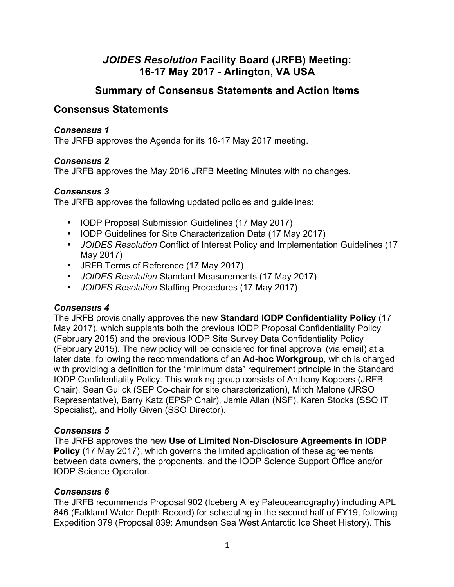# *JOIDES Resolution* **Facility Board (JRFB) Meeting: 16-17 May 2017 - Arlington, VA USA**

## **Summary of Consensus Statements and Action Items**

## **Consensus Statements**

#### *Consensus 1*

The JRFB approves the Agenda for its 16-17 May 2017 meeting.

#### *Consensus 2*

The JRFB approves the May 2016 JRFB Meeting Minutes with no changes.

#### *Consensus 3*

The JRFB approves the following updated policies and guidelines:

- IODP Proposal Submission Guidelines (17 May 2017)
- IODP Guidelines for Site Characterization Data (17 May 2017)
- *JOIDES Resolution* Conflict of Interest Policy and Implementation Guidelines (17 May 2017)
- JRFB Terms of Reference (17 May 2017)
- *JOIDES Resolution* Standard Measurements (17 May 2017)
- *JOIDES Resolution* Staffing Procedures (17 May 2017)

#### *Consensus 4*

The JRFB provisionally approves the new **Standard IODP Confidentiality Policy** (17 May 2017), which supplants both the previous IODP Proposal Confidentiality Policy (February 2015) and the previous IODP Site Survey Data Confidentiality Policy (February 2015). The new policy will be considered for final approval (via email) at a later date, following the recommendations of an **Ad-hoc Workgroup**, which is charged with providing a definition for the "minimum data" requirement principle in the Standard IODP Confidentiality Policy. This working group consists of Anthony Koppers (JRFB Chair), Sean Gulick (SEP Co-chair for site characterization), Mitch Malone (JRSO Representative), Barry Katz (EPSP Chair), Jamie Allan (NSF), Karen Stocks (SSO IT Specialist), and Holly Given (SSO Director).

#### *Consensus 5*

The JRFB approves the new **Use of Limited Non-Disclosure Agreements in IODP Policy** (17 May 2017), which governs the limited application of these agreements between data owners, the proponents, and the IODP Science Support Office and/or IODP Science Operator.

#### *Consensus 6*

The JRFB recommends Proposal 902 (Iceberg Alley Paleoceanography) including APL 846 (Falkland Water Depth Record) for scheduling in the second half of FY19, following Expedition 379 (Proposal 839: Amundsen Sea West Antarctic Ice Sheet History). This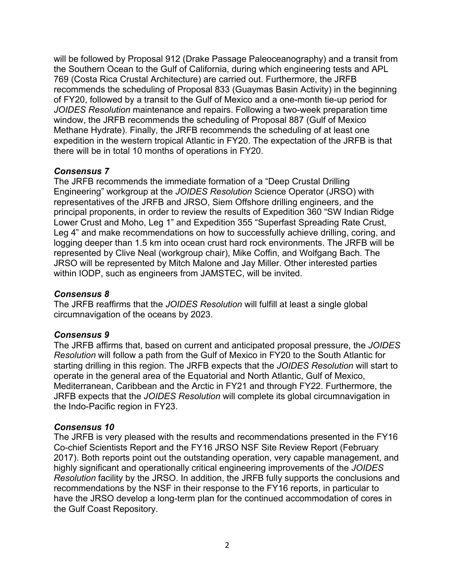will be followed by Proposal 912 (Drake Passage Paleoceanography) and a transit from the Southern Ocean to the Gulf of California, during which engineering tests and APL 769 (Costa Rica Crustal Architecture) are carried out. Furthermore, the JRFB recommends the scheduling of Proposal 833 (Guaymas Basin Activity) in the beginning of FY20, followed by a transit to the Gulf of Mexico and a one-month tie-up period for *JOIDES Resolution* maintenance and repairs. Following a two-week preparation time window, the JRFB recommends the scheduling of Proposal 887 (Gulf of Mexico Methane Hydrate). Finally, the JRFB recommends the scheduling of at least one expedition in the western tropical Atlantic in FY20. The expectation of the JRFB is that there will be in total 10 months of operations in FY20.

#### *Consensus 7*

The JRFB recommends the immediate formation of a "Deep Crustal Drilling Engineering" workgroup at the *JOIDES Resolution* Science Operator (JRSO) with representatives of the JRFB and JRSO, Siem Offshore drilling engineers, and the principal proponents, in order to review the results of Expedition 360 "SW Indian Ridge Lower Crust and Moho, Leg 1" and Expedition 355 "Superfast Spreading Rate Crust, Leg 4" and make recommendations on how to successfully achieve drilling, coring, and logging deeper than 1.5 km into ocean crust hard rock environments. The JRFB will be represented by Clive Neal (workgroup chair), Mike Coffin, and Wolfgang Bach. The JRSO will be represented by Mitch Malone and Jay Miller. Other interested parties within IODP, such as engineers from JAMSTEC, will be invited.

#### *Consensus 8*

The JRFB reaffirms that the *JOIDES Resolution* will fulfill at least a single global circumnavigation of the oceans by 2023.

#### *Consensus 9*

The JRFB affirms that, based on current and anticipated proposal pressure, the *JOIDES Resolution* will follow a path from the Gulf of Mexico in FY20 to the South Atlantic for starting drilling in this region. The JRFB expects that the *JOIDES Resolution* will start to operate in the general area of the Equatorial and North Atlantic, Gulf of Mexico, Mediterranean, Caribbean and the Arctic in FY21 and through FY22. Furthermore, the JRFB expects that the *JOIDES Resolution* will complete its global circumnavigation in the Indo-Pacific region in FY23.

#### *Consensus 10*

The JRFB is very pleased with the results and recommendations presented in the FY16 Co-chief Scientists Report and the FY16 JRSO NSF Site Review Report (February 2017). Both reports point out the outstanding operation, very capable management, and highly significant and operationally critical engineering improvements of the *JOIDES Resolution* facility by the JRSO. In addition, the JRFB fully supports the conclusions and recommendations by the NSF in their response to the FY16 reports, in particular to have the JRSO develop a long-term plan for the continued accommodation of cores in the Gulf Coast Repository.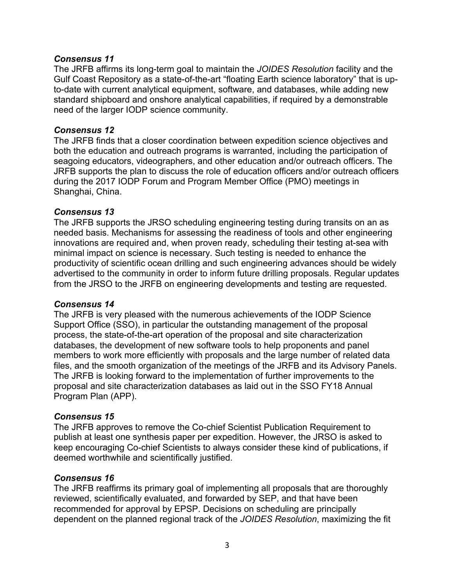#### *Consensus 11*

The JRFB affirms its long-term goal to maintain the *JOIDES Resolution* facility and the Gulf Coast Repository as a state-of-the-art "floating Earth science laboratory" that is upto-date with current analytical equipment, software, and databases, while adding new standard shipboard and onshore analytical capabilities, if required by a demonstrable need of the larger IODP science community.

#### *Consensus 12*

The JRFB finds that a closer coordination between expedition science objectives and both the education and outreach programs is warranted, including the participation of seagoing educators, videographers, and other education and/or outreach officers. The JRFB supports the plan to discuss the role of education officers and/or outreach officers during the 2017 IODP Forum and Program Member Office (PMO) meetings in Shanghai, China.

#### *Consensus 13*

The JRFB supports the JRSO scheduling engineering testing during transits on an as needed basis. Mechanisms for assessing the readiness of tools and other engineering innovations are required and, when proven ready, scheduling their testing at-sea with minimal impact on science is necessary. Such testing is needed to enhance the productivity of scientific ocean drilling and such engineering advances should be widely advertised to the community in order to inform future drilling proposals. Regular updates from the JRSO to the JRFB on engineering developments and testing are requested.

#### *Consensus 14*

The JRFB is very pleased with the numerous achievements of the IODP Science Support Office (SSO), in particular the outstanding management of the proposal process, the state-of-the-art operation of the proposal and site characterization databases, the development of new software tools to help proponents and panel members to work more efficiently with proposals and the large number of related data files, and the smooth organization of the meetings of the JRFB and its Advisory Panels. The JRFB is looking forward to the implementation of further improvements to the proposal and site characterization databases as laid out in the SSO FY18 Annual Program Plan (APP).

#### *Consensus 15*

The JRFB approves to remove the Co-chief Scientist Publication Requirement to publish at least one synthesis paper per expedition. However, the JRSO is asked to keep encouraging Co-chief Scientists to always consider these kind of publications, if deemed worthwhile and scientifically justified.

#### *Consensus 16*

The JRFB reaffirms its primary goal of implementing all proposals that are thoroughly reviewed, scientifically evaluated, and forwarded by SEP, and that have been recommended for approval by EPSP. Decisions on scheduling are principally dependent on the planned regional track of the *JOIDES Resolution*, maximizing the fit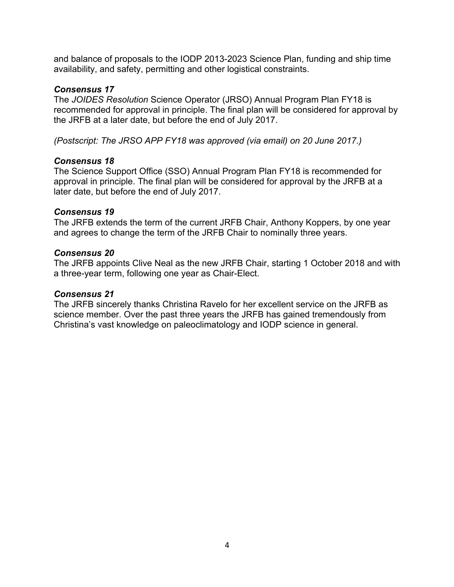and balance of proposals to the IODP 2013-2023 Science Plan, funding and ship time availability, and safety, permitting and other logistical constraints.

#### *Consensus 17*

The *JOIDES Resolution* Science Operator (JRSO) Annual Program Plan FY18 is recommended for approval in principle. The final plan will be considered for approval by the JRFB at a later date, but before the end of July 2017.

*(Postscript: The JRSO APP FY18 was approved (via email) on 20 June 2017.)*

#### *Consensus 18*

The Science Support Office (SSO) Annual Program Plan FY18 is recommended for approval in principle. The final plan will be considered for approval by the JRFB at a later date, but before the end of July 2017.

#### *Consensus 19*

The JRFB extends the term of the current JRFB Chair, Anthony Koppers, by one year and agrees to change the term of the JRFB Chair to nominally three years.

#### *Consensus 20*

The JRFB appoints Clive Neal as the new JRFB Chair, starting 1 October 2018 and with a three-year term, following one year as Chair-Elect.

#### *Consensus 21*

The JRFB sincerely thanks Christina Ravelo for her excellent service on the JRFB as science member. Over the past three years the JRFB has gained tremendously from Christina's vast knowledge on paleoclimatology and IODP science in general.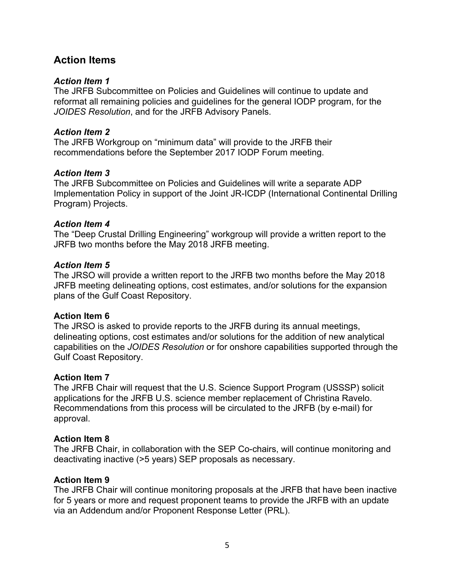# **Action Items**

#### *Action Item 1*

The JRFB Subcommittee on Policies and Guidelines will continue to update and reformat all remaining policies and guidelines for the general IODP program, for the *JOIDES Resolution*, and for the JRFB Advisory Panels.

#### *Action Item 2*

The JRFB Workgroup on "minimum data" will provide to the JRFB their recommendations before the September 2017 IODP Forum meeting.

#### *Action Item 3*

The JRFB Subcommittee on Policies and Guidelines will write a separate ADP Implementation Policy in support of the Joint JR-ICDP (International Continental Drilling Program) Projects.

#### *Action Item 4*

The "Deep Crustal Drilling Engineering" workgroup will provide a written report to the JRFB two months before the May 2018 JRFB meeting.

#### *Action Item 5*

The JRSO will provide a written report to the JRFB two months before the May 2018 JRFB meeting delineating options, cost estimates, and/or solutions for the expansion plans of the Gulf Coast Repository.

#### **Action Item 6**

The JRSO is asked to provide reports to the JRFB during its annual meetings, delineating options, cost estimates and/or solutions for the addition of new analytical capabilities on the *JOIDES Resolution* or for onshore capabilities supported through the Gulf Coast Repository.

#### **Action Item 7**

The JRFB Chair will request that the U.S. Science Support Program (USSSP) solicit applications for the JRFB U.S. science member replacement of Christina Ravelo. Recommendations from this process will be circulated to the JRFB (by e-mail) for approval.

#### **Action Item 8**

The JRFB Chair, in collaboration with the SEP Co-chairs, will continue monitoring and deactivating inactive (>5 years) SEP proposals as necessary.

#### **Action Item 9**

The JRFB Chair will continue monitoring proposals at the JRFB that have been inactive for 5 years or more and request proponent teams to provide the JRFB with an update via an Addendum and/or Proponent Response Letter (PRL).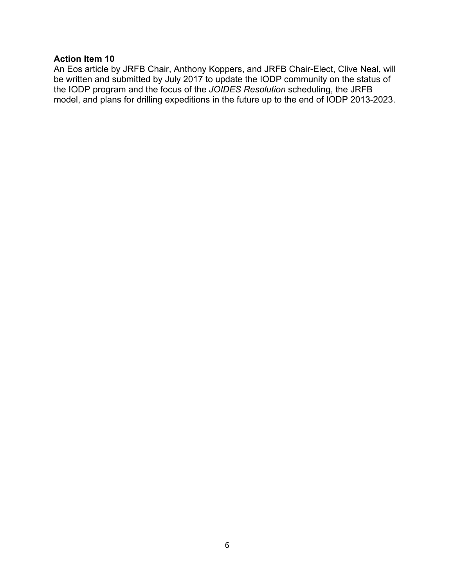#### **Action Item 10**

An Eos article by JRFB Chair, Anthony Koppers, and JRFB Chair-Elect, Clive Neal, will be written and submitted by July 2017 to update the IODP community on the status of the IODP program and the focus of the *JOIDES Resolution* scheduling, the JRFB model, and plans for drilling expeditions in the future up to the end of IODP 2013-2023.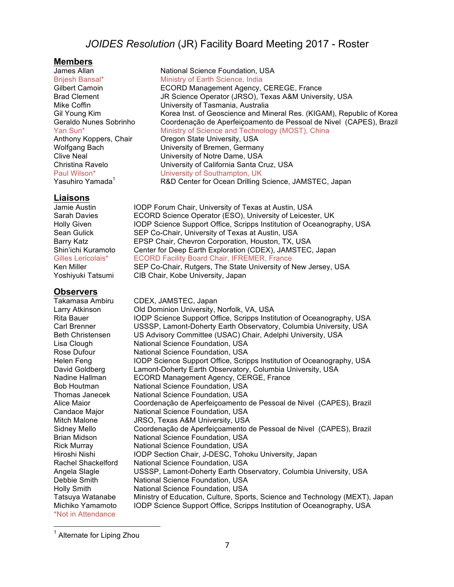## *JOIDES Resolution* (JR) Facility Board Meeting 2017 - Roster

**Members**

#### **Liaisons**

**Observers** Takamasa Ambiru CDEX, JAMSTEC, Japan Larry Atkinson **Old Dominion University, Norfolk, VA, USA**<br>
Rita Bauer **North State Support Office, Scripps Instit** IODP Science Support Office, Scripps Institution of Oceanography, USA Carl Brenner **Carl Brenner Carl Brenner** USSSP, Lamont-Doherty Earth Observatory, Columbia University, USA<br>Beth Christensen US Advisory Committee (USAC) Chair, Adelphi University, USA US Advisory Committee (USAC) Chair, Adelphi University, USA Lisa Clough National Science Foundation, USA Rose Dufour **National Science Foundation, USA** Helen Feng IODP Science Support Office, Scripps Institution of Oceanography, USA David Goldberg Lamont-Doherty Earth Observatory, Columbia University, USA Nadine Hallman ECORD Management Agency, CERGE, France Bob Houtman National Science Foundation, USA Thomas Janecek National Science Foundation, USA<br>Alice Maior Coordenacão de Aperfeicoamento Alice Maior Coordenação de Aperfeiçoamento de Pessoal de Nivel (CAPES), Brazil<br>Candace Maior (National Science Foundation, USA) National Science Foundation, USA Mitch Malone JRSO, Texas A&M University, USA Sidney Mello Coordenação de Aperfeiçoamento de Pessoal de Nivel (CAPES), Brazil<br>Brian Midson Mational Science Foundation, USA National Science Foundation, USA Rick Murray National Science Foundation, USA Hiroshi Nishi IODP Section Chair, J-DESC, Tohoku University, Japan Rachel Shackelford National Science Foundation. USA National Science Foundation, USA Angela Slagle USSSP, Lamont-Doherty Earth Observatory, Columbia University, USA Debbie Smith National Science Foundation, USA Holly Smith National Science Foundation, USA Tatsuya Watanabe Ministry of Education, Culture, Sports, Science and Technology (MEXT), Japan<br>Michiko Yamamoto IODP Science Support Office, Scripps Institution of Oceanography, USA IODP Science Support Office, Scripps Institution of Oceanography, USA \*Not in Attendance

 <sup>1</sup> Alternate for Liping Zhou

National Science Foundation, USA Brijesh Bansal\* Ministry of Earth Science, India Gilbert Camoin **ECORD Management Agency, CEREGE, France**<br>Brad Clement **Brance Conce Concert (STAG)** Texas A&M Univers JR Science Operator (JRSO), Texas A&M University, USA Mike Coffin University of Tasmania, Australia Gil Young Kim Korea Inst. of Geoscience and Mineral Res. (KIGAM), Republic of Korea<br>Geraldo Nunes Sobrinho Coordenação de Aperfeiçoamento de Pessoal de Nivel (CAPES), Brazil Coordenação de Aperfeiçoamento de Pessoal de Nivel (CAPES), Brazil Yan Sun<sup>\*</sup> Ministry of Science and Technology (MOST), China Anthony Koppers, Chair **Oregon State University, USA** Wolfgang Bach **University of Bremen, Germany**<br>Clive Neal **Diniversity of Notre Dame**, USA University of Notre Dame, USA Christina Ravelo<br>
Paul Wilson\* University of Southampton, UK<br>
University of Southampton, UK University of Southampton, UK Yasuhiro Yamada<sup>1</sup> R&D Center for Ocean Drilling Science, JAMSTEC, Japan

Jamie Austin **IODP Forum Chair, University of Texas at Austin, USA** Sarah Davies **ECORD** Science Operator (ESO), University of Leicester, UK Holly Given IODP Science Support Office, Scripps Institution of Oceanography, USA Sean Gulick SEP Co-Chair, University of Texas at Austin, USA Barry Katz **EPSP Chair, Chevron Corporation, Houston, TX, USA** Shin'ichi Kuramoto Center for Deep Earth Exploration (CDEX), JAMSTEC, Japan Gilles Lericolais\* ECORD Facility Board Chair, IFREMER, France Ken Miller SEP Co-Chair, Rutgers, The State University of New Jersey, USA

Yoshiyuki Tatsumi CIB Chair, Kobe University, Japan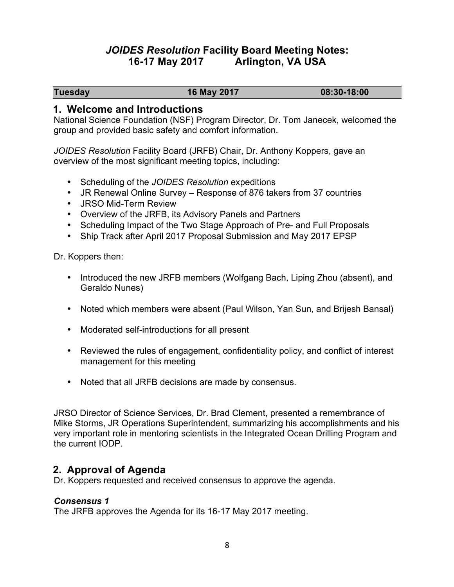## *JOIDES Resolution* **Facility Board Meeting Notes: 16-17 May 2017 Arlington, VA USA**

**Tuesday 16 May 2017 08:30-18:00**

#### **1. Welcome and Introductions**

National Science Foundation (NSF) Program Director, Dr. Tom Janecek, welcomed the group and provided basic safety and comfort information.

*JOIDES Resolution* Facility Board (JRFB) Chair, Dr. Anthony Koppers, gave an overview of the most significant meeting topics, including:

- Scheduling of the *JOIDES Resolution* expeditions
- JR Renewal Online Survey Response of 876 takers from 37 countries
- JRSO Mid-Term Review
- Overview of the JRFB, its Advisory Panels and Partners
- Scheduling Impact of the Two Stage Approach of Pre- and Full Proposals
- Ship Track after April 2017 Proposal Submission and May 2017 EPSP

Dr. Koppers then:

- Introduced the new JRFB members (Wolfgang Bach, Liping Zhou (absent), and Geraldo Nunes)
- Noted which members were absent (Paul Wilson, Yan Sun, and Brijesh Bansal)
- Moderated self-introductions for all present
- Reviewed the rules of engagement, confidentiality policy, and conflict of interest management for this meeting
- Noted that all JRFB decisions are made by consensus.

JRSO Director of Science Services, Dr. Brad Clement, presented a remembrance of Mike Storms, JR Operations Superintendent, summarizing his accomplishments and his very important role in mentoring scientists in the Integrated Ocean Drilling Program and the current IODP.

## **2. Approval of Agenda**

Dr. Koppers requested and received consensus to approve the agenda.

#### *Consensus 1*

The JRFB approves the Agenda for its 16-17 May 2017 meeting.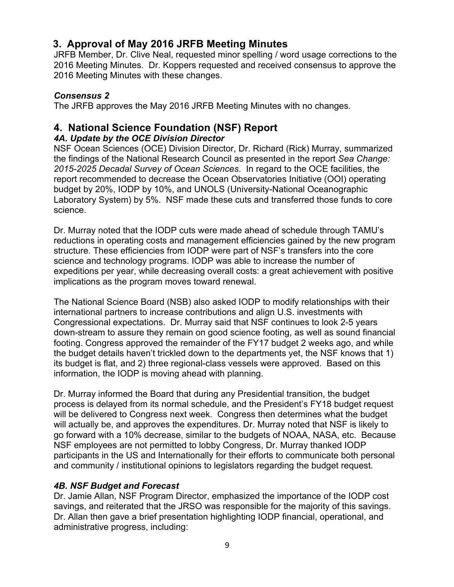# **3. Approval of May 2016 JRFB Meeting Minutes**

JRFB Member, Dr. Clive Neal, requested minor spelling / word usage corrections to the 2016 Meeting Minutes. Dr. Koppers requested and received consensus to approve the 2016 Meeting Minutes with these changes.

## *Consensus 2*

The JRFB approves the May 2016 JRFB Meeting Minutes with no changes.

# **4. National Science Foundation (NSF) Report**

## *4A. Update by the OCE Division Director*

NSF Ocean Sciences (OCE) Division Director, Dr. Richard (Rick) Murray, summarized the findings of the National Research Council as presented in the report *Sea Change: 2015-2025 Decadal Survey of Ocean Sciences*. In regard to the OCE facilities, the report recommended to decrease the Ocean Observatories Initiative (OOI) operating budget by 20%, IODP by 10%, and UNOLS (University-National Oceanographic Laboratory System) by 5%. NSF made these cuts and transferred those funds to core science.

Dr. Murray noted that the IODP cuts were made ahead of schedule through TAMU's reductions in operating costs and management efficiencies gained by the new program structure. These efficiencies from IODP were part of NSF's transfers into the core science and technology programs. IODP was able to increase the number of expeditions per year, while decreasing overall costs: a great achievement with positive implications as the program moves toward renewal.

The National Science Board (NSB) also asked IODP to modify relationships with their international partners to increase contributions and align U.S. investments with Congressional expectations. Dr. Murray said that NSF continues to look 2-5 years down-stream to assure they remain on good science footing, as well as sound financial footing. Congress approved the remainder of the FY17 budget 2 weeks ago, and while the budget details haven't trickled down to the departments yet, the NSF knows that 1) its budget is flat, and 2) three regional-class vessels were approved. Based on this information, the IODP is moving ahead with planning.

Dr. Murray informed the Board that during any Presidential transition, the budget process is delayed from its normal schedule, and the President's FY18 budget request will be delivered to Congress next week. Congress then determines what the budget will actually be, and approves the expenditures. Dr. Murray noted that NSF is likely to go forward with a 10% decrease, similar to the budgets of NOAA, NASA, etc. Because NSF employees are not permitted to lobby Congress, Dr. Murray thanked IODP participants in the US and Internationally for their efforts to communicate both personal and community / institutional opinions to legislators regarding the budget request.

## *4B. NSF Budget and Forecast*

Dr. Jamie Allan, NSF Program Director, emphasized the importance of the IODP cost savings, and reiterated that the JRSO was responsible for the majority of this savings. Dr. Allan then gave a brief presentation highlighting IODP financial, operational, and administrative progress, including: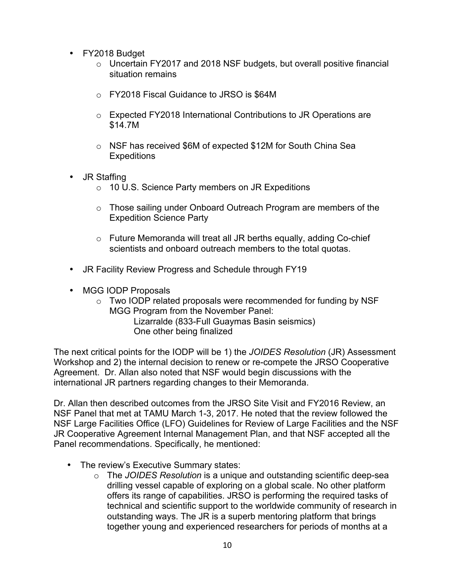- FY2018 Budget
	- $\circ$  Uncertain FY2017 and 2018 NSF budgets, but overall positive financial situation remains
	- o FY2018 Fiscal Guidance to JRSO is \$64M
	- o Expected FY2018 International Contributions to JR Operations are \$14.7M
	- o NSF has received \$6M of expected \$12M for South China Sea **Expeditions**
- JR Staffing
	- o 10 U.S. Science Party members on JR Expeditions
	- o Those sailing under Onboard Outreach Program are members of the Expedition Science Party
	- o Future Memoranda will treat all JR berths equally, adding Co-chief scientists and onboard outreach members to the total quotas.
- JR Facility Review Progress and Schedule through FY19
- MGG IODP Proposals
	- o Two IODP related proposals were recommended for funding by NSF MGG Program from the November Panel:

Lizarralde (833-Full Guaymas Basin seismics) One other being finalized

The next critical points for the IODP will be 1) the *JOIDES Resolution* (JR) Assessment Workshop and 2) the internal decision to renew or re-compete the JRSO Cooperative Agreement. Dr. Allan also noted that NSF would begin discussions with the international JR partners regarding changes to their Memoranda.

Dr. Allan then described outcomes from the JRSO Site Visit and FY2016 Review, an NSF Panel that met at TAMU March 1-3, 2017. He noted that the review followed the NSF Large Facilities Office (LFO) Guidelines for Review of Large Facilities and the NSF JR Cooperative Agreement Internal Management Plan, and that NSF accepted all the Panel recommendations. Specifically, he mentioned:

- The review's Executive Summary states:
	- o The *JOIDES Resolution* is a unique and outstanding scientific deep-sea drilling vessel capable of exploring on a global scale. No other platform offers its range of capabilities. JRSO is performing the required tasks of technical and scientific support to the worldwide community of research in outstanding ways. The JR is a superb mentoring platform that brings together young and experienced researchers for periods of months at a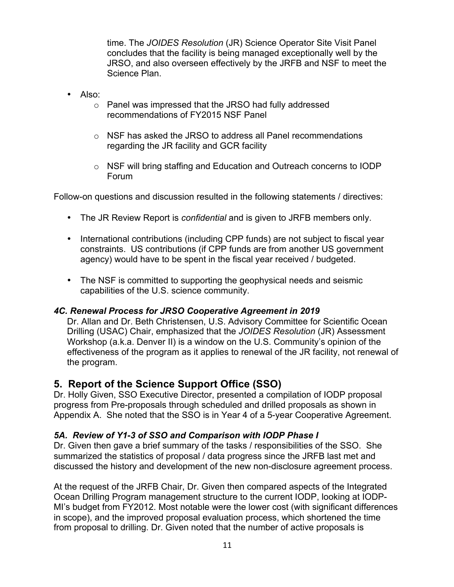time. The *JOIDES Resolution* (JR) Science Operator Site Visit Panel concludes that the facility is being managed exceptionally well by the JRSO, and also overseen effectively by the JRFB and NSF to meet the Science Plan.

- $\cdot$  Also:
	- o Panel was impressed that the JRSO had fully addressed recommendations of FY2015 NSF Panel
	- o NSF has asked the JRSO to address all Panel recommendations regarding the JR facility and GCR facility
	- $\circ$  NSF will bring staffing and Education and Outreach concerns to IODP Forum

Follow-on questions and discussion resulted in the following statements / directives:

- The JR Review Report is *confidential* and is given to JRFB members only.
- International contributions (including CPP funds) are not subject to fiscal year constraints. US contributions (if CPP funds are from another US government agency) would have to be spent in the fiscal year received / budgeted.
- The NSF is committed to supporting the geophysical needs and seismic capabilities of the U.S. science community.

#### *4C. Renewal Process for JRSO Cooperative Agreement in 2019*

Dr. Allan and Dr. Beth Christensen, U.S. Advisory Committee for Scientific Ocean Drilling (USAC) Chair, emphasized that the *JOIDES Resolution* (JR) Assessment Workshop (a.k.a. Denver II) is a window on the U.S. Community's opinion of the effectiveness of the program as it applies to renewal of the JR facility, not renewal of the program.

## **5. Report of the Science Support Office (SSO)**

Dr. Holly Given, SSO Executive Director, presented a compilation of IODP proposal progress from Pre-proposals through scheduled and drilled proposals as shown in Appendix A. She noted that the SSO is in Year 4 of a 5-year Cooperative Agreement.

## *5A. Review of Y1-3 of SSO and Comparison with IODP Phase I*

Dr. Given then gave a brief summary of the tasks / responsibilities of the SSO. She summarized the statistics of proposal / data progress since the JRFB last met and discussed the history and development of the new non-disclosure agreement process.

At the request of the JRFB Chair, Dr. Given then compared aspects of the Integrated Ocean Drilling Program management structure to the current IODP, looking at IODP-MI's budget from FY2012. Most notable were the lower cost (with significant differences in scope), and the improved proposal evaluation process, which shortened the time from proposal to drilling. Dr. Given noted that the number of active proposals is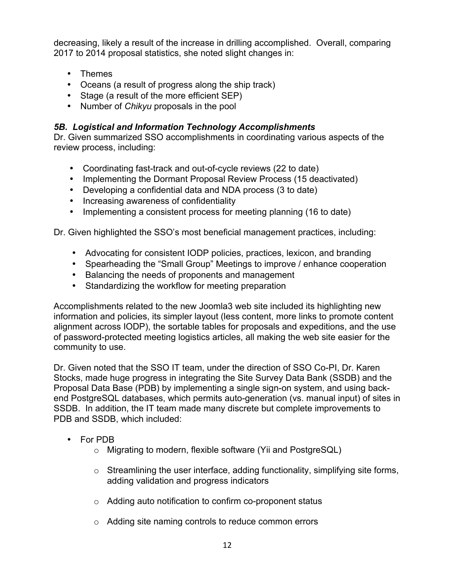decreasing, likely a result of the increase in drilling accomplished. Overall, comparing 2017 to 2014 proposal statistics, she noted slight changes in:

- Themes
- Oceans (a result of progress along the ship track)
- Stage (a result of the more efficient SEP)
- Number of *Chikyu* proposals in the pool

#### *5B. Logistical and Information Technology Accomplishments*

Dr. Given summarized SSO accomplishments in coordinating various aspects of the review process, including:

- Coordinating fast-track and out-of-cycle reviews (22 to date)
- Implementing the Dormant Proposal Review Process (15 deactivated)
- Developing a confidential data and NDA process (3 to date)
- Increasing awareness of confidentiality
- Implementing a consistent process for meeting planning (16 to date)

Dr. Given highlighted the SSO's most beneficial management practices, including:

- Advocating for consistent IODP policies, practices, lexicon, and branding
- Spearheading the "Small Group" Meetings to improve / enhance cooperation
- Balancing the needs of proponents and management
- Standardizing the workflow for meeting preparation

Accomplishments related to the new Joomla3 web site included its highlighting new information and policies, its simpler layout (less content, more links to promote content alignment across IODP), the sortable tables for proposals and expeditions, and the use of password-protected meeting logistics articles, all making the web site easier for the community to use.

Dr. Given noted that the SSO IT team, under the direction of SSO Co-PI, Dr. Karen Stocks, made huge progress in integrating the Site Survey Data Bank (SSDB) and the Proposal Data Base (PDB) by implementing a single sign-on system, and using backend PostgreSQL databases, which permits auto-generation (vs. manual input) of sites in SSDB. In addition, the IT team made many discrete but complete improvements to PDB and SSDB, which included:

- For PDB
	- o Migrating to modern, flexible software (Yii and PostgreSQL)
	- $\circ$  Streamlining the user interface, adding functionality, simplifying site forms, adding validation and progress indicators
	- o Adding auto notification to confirm co-proponent status
	- o Adding site naming controls to reduce common errors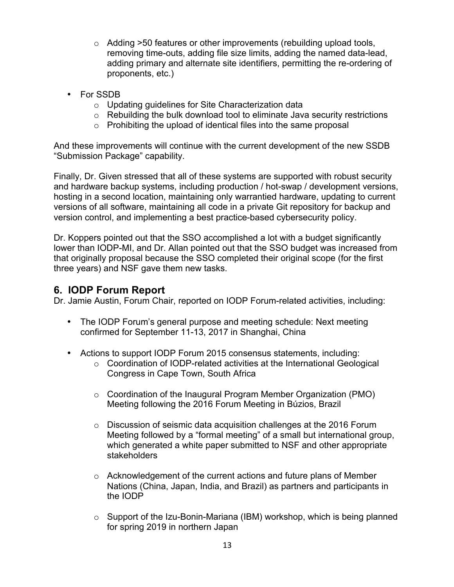- $\circ$  Adding  $>50$  features or other improvements (rebuilding upload tools, removing time-outs, adding file size limits, adding the named data-lead, adding primary and alternate site identifiers, permitting the re-ordering of proponents, etc.)
- For SSDB
	- o Updating guidelines for Site Characterization data
	- o Rebuilding the bulk download tool to eliminate Java security restrictions
	- $\circ$  Prohibiting the upload of identical files into the same proposal

And these improvements will continue with the current development of the new SSDB "Submission Package" capability.

Finally, Dr. Given stressed that all of these systems are supported with robust security and hardware backup systems, including production / hot-swap / development versions, hosting in a second location, maintaining only warrantied hardware, updating to current versions of all software, maintaining all code in a private Git repository for backup and version control, and implementing a best practice-based cybersecurity policy.

Dr. Koppers pointed out that the SSO accomplished a lot with a budget significantly lower than IODP-MI, and Dr. Allan pointed out that the SSO budget was increased from that originally proposal because the SSO completed their original scope (for the first three years) and NSF gave them new tasks.

# **6. IODP Forum Report**

Dr. Jamie Austin, Forum Chair, reported on IODP Forum-related activities, including:

- The IODP Forum's general purpose and meeting schedule: Next meeting confirmed for September 11-13, 2017 in Shanghai, China
- Actions to support IODP Forum 2015 consensus statements, including:
	- o Coordination of IODP-related activities at the International Geological Congress in Cape Town, South Africa
	- $\circ$  Coordination of the Inaugural Program Member Organization (PMO) Meeting following the 2016 Forum Meeting in Búzios, Brazil
	- $\circ$  Discussion of seismic data acquisition challenges at the 2016 Forum Meeting followed by a "formal meeting" of a small but international group, which generated a white paper submitted to NSF and other appropriate stakeholders
	- o Acknowledgement of the current actions and future plans of Member Nations (China, Japan, India, and Brazil) as partners and participants in the IODP
	- o Support of the Izu-Bonin-Mariana (IBM) workshop, which is being planned for spring 2019 in northern Japan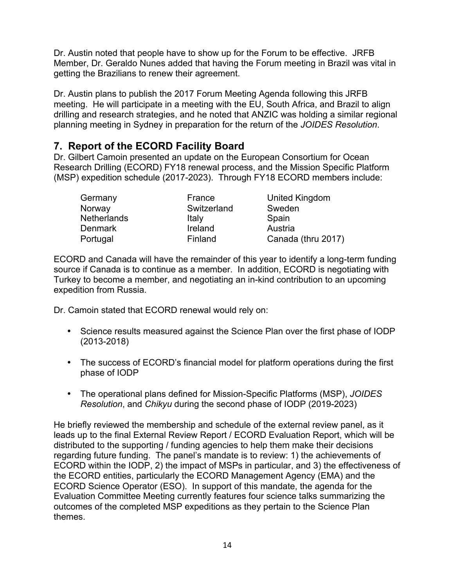Dr. Austin noted that people have to show up for the Forum to be effective. JRFB Member, Dr. Geraldo Nunes added that having the Forum meeting in Brazil was vital in getting the Brazilians to renew their agreement.

Dr. Austin plans to publish the 2017 Forum Meeting Agenda following this JRFB meeting. He will participate in a meeting with the EU, South Africa, and Brazil to align drilling and research strategies, and he noted that ANZIC was holding a similar regional planning meeting in Sydney in preparation for the return of the *JOIDES Resolution*.

# **7. Report of the ECORD Facility Board**

Dr. Gilbert Camoin presented an update on the European Consortium for Ocean Research Drilling (ECORD) FY18 renewal process, and the Mission Specific Platform (MSP) expedition schedule (2017-2023). Through FY18 ECORD members include:

| Germany            | France      | United Kingdom     |
|--------------------|-------------|--------------------|
| Norway             | Switzerland | Sweden             |
| <b>Netherlands</b> | Italy       | Spain              |
| <b>Denmark</b>     | Ireland     | Austria            |
| Portugal           | Finland     | Canada (thru 2017) |

ECORD and Canada will have the remainder of this year to identify a long-term funding source if Canada is to continue as a member. In addition, ECORD is negotiating with Turkey to become a member, and negotiating an in-kind contribution to an upcoming expedition from Russia.

Dr. Camoin stated that ECORD renewal would rely on:

- Science results measured against the Science Plan over the first phase of IODP (2013-2018)
- The success of ECORD's financial model for platform operations during the first phase of IODP
- The operational plans defined for Mission-Specific Platforms (MSP), *JOIDES Resolution*, and *Chikyu* during the second phase of IODP (2019-2023)

He briefly reviewed the membership and schedule of the external review panel, as it leads up to the final External Review Report / ECORD Evaluation Report, which will be distributed to the supporting / funding agencies to help them make their decisions regarding future funding. The panel's mandate is to review: 1) the achievements of ECORD within the IODP, 2) the impact of MSPs in particular, and 3) the effectiveness of the ECORD entities, particularly the ECORD Management Agency (EMA) and the ECORD Science Operator (ESO). In support of this mandate, the agenda for the Evaluation Committee Meeting currently features four science talks summarizing the outcomes of the completed MSP expeditions as they pertain to the Science Plan themes.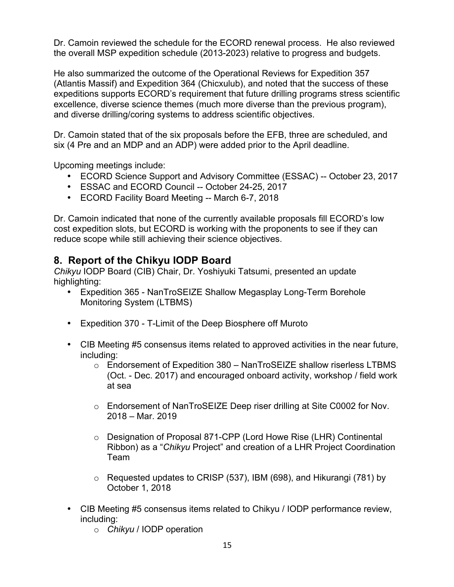Dr. Camoin reviewed the schedule for the ECORD renewal process. He also reviewed the overall MSP expedition schedule (2013-2023) relative to progress and budgets.

He also summarized the outcome of the Operational Reviews for Expedition 357 (Atlantis Massif) and Expedition 364 (Chicxulub), and noted that the success of these expeditions supports ECORD's requirement that future drilling programs stress scientific excellence, diverse science themes (much more diverse than the previous program), and diverse drilling/coring systems to address scientific objectives.

Dr. Camoin stated that of the six proposals before the EFB, three are scheduled, and six (4 Pre and an MDP and an ADP) were added prior to the April deadline.

Upcoming meetings include:

- ECORD Science Support and Advisory Committee (ESSAC) -- October 23, 2017
- ESSAC and ECORD Council -- October 24-25, 2017
- ECORD Facility Board Meeting -- March 6-7, 2018

Dr. Camoin indicated that none of the currently available proposals fill ECORD's low cost expedition slots, but ECORD is working with the proponents to see if they can reduce scope while still achieving their science objectives.

# **8. Report of the Chikyu IODP Board**

*Chikyu* IODP Board (CIB) Chair, Dr. Yoshiyuki Tatsumi, presented an update highlighting:

- Expedition 365 NanTroSEIZE Shallow Megasplay Long-Term Borehole Monitoring System (LTBMS)
- Expedition 370 T-Limit of the Deep Biosphere off Muroto
- CIB Meeting #5 consensus items related to approved activities in the near future, including:
	- $\circ$  Endorsement of Expedition 380 NanTroSEIZE shallow riserless LTBMS (Oct. - Dec. 2017) and encouraged onboard activity, workshop / field work at sea
	- o Endorsement of NanTroSEIZE Deep riser drilling at Site C0002 for Nov. 2018 – Mar. 2019
	- o Designation of Proposal 871-CPP (Lord Howe Rise (LHR) Continental Ribbon) as a "*Chikyu* Project" and creation of a LHR Project Coordination Team
	- $\circ$  Requested updates to CRISP (537), IBM (698), and Hikurangi (781) by October 1, 2018
- CIB Meeting #5 consensus items related to Chikyu / IODP performance review, including:
	- o *Chikyu* / IODP operation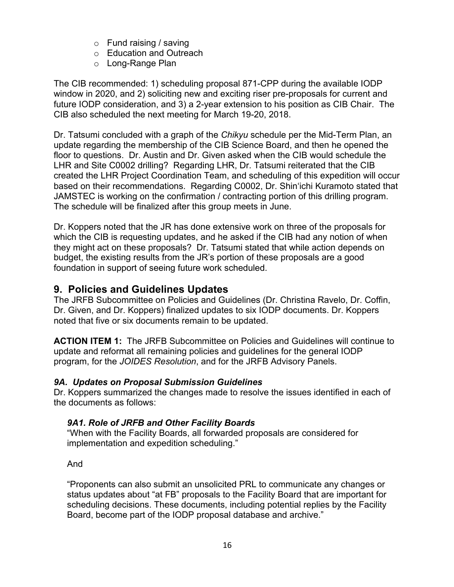- o Fund raising / saving
- o Education and Outreach
- o Long-Range Plan

The CIB recommended: 1) scheduling proposal 871-CPP during the available IODP window in 2020, and 2) soliciting new and exciting riser pre-proposals for current and future IODP consideration, and 3) a 2-year extension to his position as CIB Chair. The CIB also scheduled the next meeting for March 19-20, 2018.

Dr. Tatsumi concluded with a graph of the *Chikyu* schedule per the Mid-Term Plan, an update regarding the membership of the CIB Science Board, and then he opened the floor to questions. Dr. Austin and Dr. Given asked when the CIB would schedule the LHR and Site C0002 drilling? Regarding LHR, Dr. Tatsumi reiterated that the CIB created the LHR Project Coordination Team, and scheduling of this expedition will occur based on their recommendations. Regarding C0002, Dr. Shin'ichi Kuramoto stated that JAMSTEC is working on the confirmation / contracting portion of this drilling program. The schedule will be finalized after this group meets in June.

Dr. Koppers noted that the JR has done extensive work on three of the proposals for which the CIB is requesting updates, and he asked if the CIB had any notion of when they might act on these proposals? Dr. Tatsumi stated that while action depends on budget, the existing results from the JR's portion of these proposals are a good foundation in support of seeing future work scheduled.

# **9. Policies and Guidelines Updates**

The JRFB Subcommittee on Policies and Guidelines (Dr. Christina Ravelo, Dr. Coffin, Dr. Given, and Dr. Koppers) finalized updates to six IODP documents. Dr. Koppers noted that five or six documents remain to be updated.

**ACTION ITEM 1:** The JRFB Subcommittee on Policies and Guidelines will continue to update and reformat all remaining policies and guidelines for the general IODP program, for the *JOIDES Resolution*, and for the JRFB Advisory Panels.

## *9A. Updates on Proposal Submission Guidelines*

Dr. Koppers summarized the changes made to resolve the issues identified in each of the documents as follows:

## *9A1. Role of JRFB and Other Facility Boards*

"When with the Facility Boards, all forwarded proposals are considered for implementation and expedition scheduling."

And

"Proponents can also submit an unsolicited PRL to communicate any changes or status updates about "at FB" proposals to the Facility Board that are important for scheduling decisions. These documents, including potential replies by the Facility Board, become part of the IODP proposal database and archive."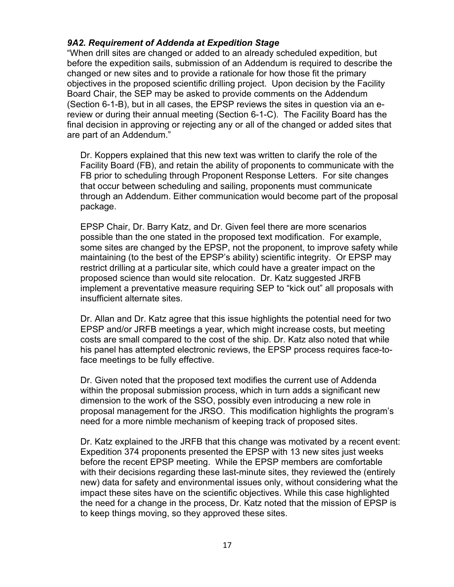#### *9A2. Requirement of Addenda at Expedition Stage*

"When drill sites are changed or added to an already scheduled expedition, but before the expedition sails, submission of an Addendum is required to describe the changed or new sites and to provide a rationale for how those fit the primary objectives in the proposed scientific drilling project. Upon decision by the Facility Board Chair, the SEP may be asked to provide comments on the Addendum (Section 6-1-B), but in all cases, the EPSP reviews the sites in question via an ereview or during their annual meeting (Section 6-1-C). The Facility Board has the final decision in approving or rejecting any or all of the changed or added sites that are part of an Addendum."

Dr. Koppers explained that this new text was written to clarify the role of the Facility Board (FB), and retain the ability of proponents to communicate with the FB prior to scheduling through Proponent Response Letters. For site changes that occur between scheduling and sailing, proponents must communicate through an Addendum. Either communication would become part of the proposal package.

EPSP Chair, Dr. Barry Katz, and Dr. Given feel there are more scenarios possible than the one stated in the proposed text modification. For example, some sites are changed by the EPSP, not the proponent, to improve safety while maintaining (to the best of the EPSP's ability) scientific integrity. Or EPSP may restrict drilling at a particular site, which could have a greater impact on the proposed science than would site relocation. Dr. Katz suggested JRFB implement a preventative measure requiring SEP to "kick out" all proposals with insufficient alternate sites.

Dr. Allan and Dr. Katz agree that this issue highlights the potential need for two EPSP and/or JRFB meetings a year, which might increase costs, but meeting costs are small compared to the cost of the ship. Dr. Katz also noted that while his panel has attempted electronic reviews, the EPSP process requires face-toface meetings to be fully effective.

Dr. Given noted that the proposed text modifies the current use of Addenda within the proposal submission process, which in turn adds a significant new dimension to the work of the SSO, possibly even introducing a new role in proposal management for the JRSO. This modification highlights the program's need for a more nimble mechanism of keeping track of proposed sites.

Dr. Katz explained to the JRFB that this change was motivated by a recent event: Expedition 374 proponents presented the EPSP with 13 new sites just weeks before the recent EPSP meeting. While the EPSP members are comfortable with their decisions regarding these last-minute sites, they reviewed the (entirely new) data for safety and environmental issues only, without considering what the impact these sites have on the scientific objectives. While this case highlighted the need for a change in the process, Dr. Katz noted that the mission of EPSP is to keep things moving, so they approved these sites.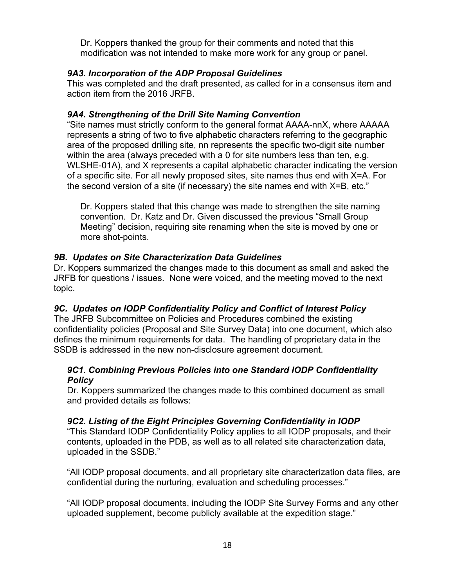Dr. Koppers thanked the group for their comments and noted that this modification was not intended to make more work for any group or panel.

#### *9A3. Incorporation of the ADP Proposal Guidelines*

This was completed and the draft presented, as called for in a consensus item and action item from the 2016 JRFB.

#### *9A4. Strengthening of the Drill Site Naming Convention*

"Site names must strictly conform to the general format AAAA-nnX, where AAAAA represents a string of two to five alphabetic characters referring to the geographic area of the proposed drilling site, nn represents the specific two-digit site number within the area (always preceded with a 0 for site numbers less than ten, e.g. WLSHE-01A), and X represents a capital alphabetic character indicating the version of a specific site. For all newly proposed sites, site names thus end with X=A. For the second version of a site (if necessary) the site names end with X=B, etc."

Dr. Koppers stated that this change was made to strengthen the site naming convention. Dr. Katz and Dr. Given discussed the previous "Small Group Meeting" decision, requiring site renaming when the site is moved by one or more shot-points.

#### *9B. Updates on Site Characterization Data Guidelines*

Dr. Koppers summarized the changes made to this document as small and asked the JRFB for questions / issues. None were voiced, and the meeting moved to the next topic.

#### *9C. Updates on IODP Confidentiality Policy and Conflict of Interest Policy*

The JRFB Subcommittee on Policies and Procedures combined the existing confidentiality policies (Proposal and Site Survey Data) into one document, which also defines the minimum requirements for data. The handling of proprietary data in the SSDB is addressed in the new non-disclosure agreement document.

#### *9C1. Combining Previous Policies into one Standard IODP Confidentiality Policy*

Dr. Koppers summarized the changes made to this combined document as small and provided details as follows:

#### *9C2. Listing of the Eight Principles Governing Confidentiality in IODP*

"This Standard IODP Confidentiality Policy applies to all IODP proposals, and their contents, uploaded in the PDB, as well as to all related site characterization data, uploaded in the SSDB."

"All IODP proposal documents, and all proprietary site characterization data files, are confidential during the nurturing, evaluation and scheduling processes."

"All IODP proposal documents, including the IODP Site Survey Forms and any other uploaded supplement, become publicly available at the expedition stage."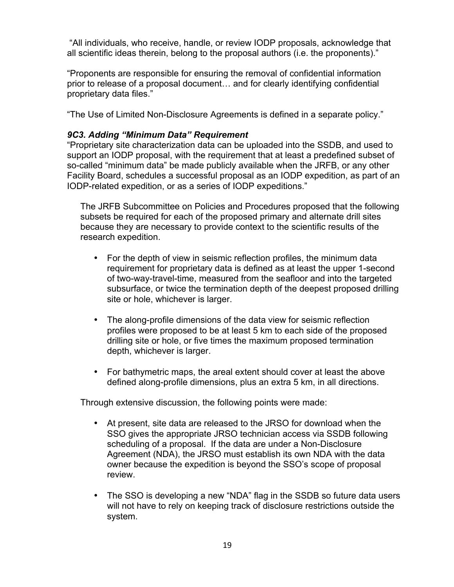"All individuals, who receive, handle, or review IODP proposals, acknowledge that all scientific ideas therein, belong to the proposal authors (i.e. the proponents)."

"Proponents are responsible for ensuring the removal of confidential information prior to release of a proposal document… and for clearly identifying confidential proprietary data files."

"The Use of Limited Non-Disclosure Agreements is defined in a separate policy."

#### *9C3. Adding "Minimum Data" Requirement*

"Proprietary site characterization data can be uploaded into the SSDB, and used to support an IODP proposal, with the requirement that at least a predefined subset of so-called "minimum data" be made publicly available when the JRFB, or any other Facility Board, schedules a successful proposal as an IODP expedition, as part of an IODP-related expedition, or as a series of IODP expeditions."

The JRFB Subcommittee on Policies and Procedures proposed that the following subsets be required for each of the proposed primary and alternate drill sites because they are necessary to provide context to the scientific results of the research expedition.

- For the depth of view in seismic reflection profiles, the minimum data requirement for proprietary data is defined as at least the upper 1-second of two-way-travel-time, measured from the seafloor and into the targeted subsurface, or twice the termination depth of the deepest proposed drilling site or hole, whichever is larger.
- The along-profile dimensions of the data view for seismic reflection profiles were proposed to be at least 5 km to each side of the proposed drilling site or hole, or five times the maximum proposed termination depth, whichever is larger.
- For bathymetric maps, the areal extent should cover at least the above defined along-profile dimensions, plus an extra 5 km, in all directions.

Through extensive discussion, the following points were made:

- At present, site data are released to the JRSO for download when the SSO gives the appropriate JRSO technician access via SSDB following scheduling of a proposal. If the data are under a Non-Disclosure Agreement (NDA), the JRSO must establish its own NDA with the data owner because the expedition is beyond the SSO's scope of proposal review.
- The SSO is developing a new "NDA" flag in the SSDB so future data users will not have to rely on keeping track of disclosure restrictions outside the system.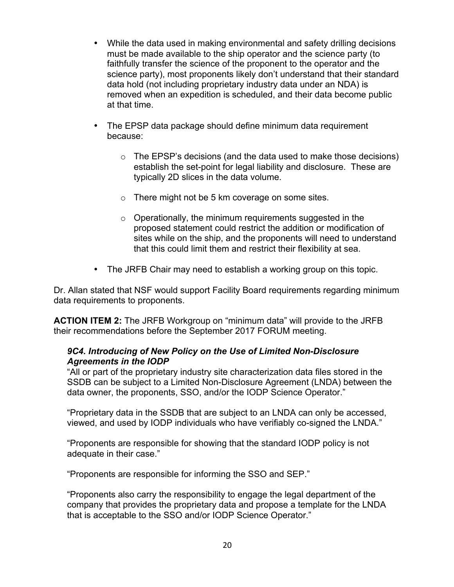- While the data used in making environmental and safety drilling decisions must be made available to the ship operator and the science party (to faithfully transfer the science of the proponent to the operator and the science party), most proponents likely don't understand that their standard data hold (not including proprietary industry data under an NDA) is removed when an expedition is scheduled, and their data become public at that time.
- The EPSP data package should define minimum data requirement because:
	- $\circ$  The EPSP's decisions (and the data used to make those decisions) establish the set-point for legal liability and disclosure. These are typically 2D slices in the data volume.
	- $\circ$  There might not be 5 km coverage on some sites.
	- o Operationally, the minimum requirements suggested in the proposed statement could restrict the addition or modification of sites while on the ship, and the proponents will need to understand that this could limit them and restrict their flexibility at sea.
- The JRFB Chair may need to establish a working group on this topic.

Dr. Allan stated that NSF would support Facility Board requirements regarding minimum data requirements to proponents.

**ACTION ITEM 2:** The JRFB Workgroup on "minimum data" will provide to the JRFB their recommendations before the September 2017 FORUM meeting.

#### *9C4. Introducing of New Policy on the Use of Limited Non-Disclosure Agreements in the IODP*

"All or part of the proprietary industry site characterization data files stored in the SSDB can be subject to a Limited Non-Disclosure Agreement (LNDA) between the data owner, the proponents, SSO, and/or the IODP Science Operator."

"Proprietary data in the SSDB that are subject to an LNDA can only be accessed, viewed, and used by IODP individuals who have verifiably co-signed the LNDA."

"Proponents are responsible for showing that the standard IODP policy is not adequate in their case."

"Proponents are responsible for informing the SSO and SEP."

"Proponents also carry the responsibility to engage the legal department of the company that provides the proprietary data and propose a template for the LNDA that is acceptable to the SSO and/or IODP Science Operator."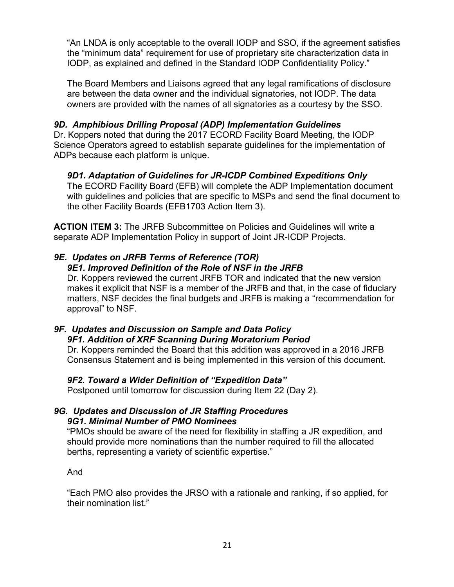"An LNDA is only acceptable to the overall IODP and SSO, if the agreement satisfies the "minimum data" requirement for use of proprietary site characterization data in IODP, as explained and defined in the Standard IODP Confidentiality Policy."

The Board Members and Liaisons agreed that any legal ramifications of disclosure are between the data owner and the individual signatories, not IODP. The data owners are provided with the names of all signatories as a courtesy by the SSO.

#### *9D. Amphibious Drilling Proposal (ADP) Implementation Guidelines*

Dr. Koppers noted that during the 2017 ECORD Facility Board Meeting, the IODP Science Operators agreed to establish separate guidelines for the implementation of ADPs because each platform is unique.

#### *9D1. Adaptation of Guidelines for JR-ICDP Combined Expeditions Only*

The ECORD Facility Board (EFB) will complete the ADP Implementation document with guidelines and policies that are specific to MSPs and send the final document to the other Facility Boards (EFB1703 Action Item 3).

**ACTION ITEM 3:** The JRFB Subcommittee on Policies and Guidelines will write a separate ADP Implementation Policy in support of Joint JR-ICDP Projects.

# *9E. Updates on JRFB Terms of Reference (TOR)*

#### *9E1. Improved Definition of the Role of NSF in the JRFB*

Dr. Koppers reviewed the current JRFB TOR and indicated that the new version makes it explicit that NSF is a member of the JRFB and that, in the case of fiduciary matters, NSF decides the final budgets and JRFB is making a "recommendation for approval" to NSF.

#### *9F. Updates and Discussion on Sample and Data Policy 9F1. Addition of XRF Scanning During Moratorium Period*

Dr. Koppers reminded the Board that this addition was approved in a 2016 JRFB Consensus Statement and is being implemented in this version of this document.

#### *9F2. Toward a Wider Definition of "Expedition Data"*

Postponed until tomorrow for discussion during Item 22 (Day 2).

#### *9G. Updates and Discussion of JR Staffing Procedures 9G1. Minimal Number of PMO Nominees*

"PMOs should be aware of the need for flexibility in staffing a JR expedition, and should provide more nominations than the number required to fill the allocated berths, representing a variety of scientific expertise."

And

"Each PMO also provides the JRSO with a rationale and ranking, if so applied, for their nomination list."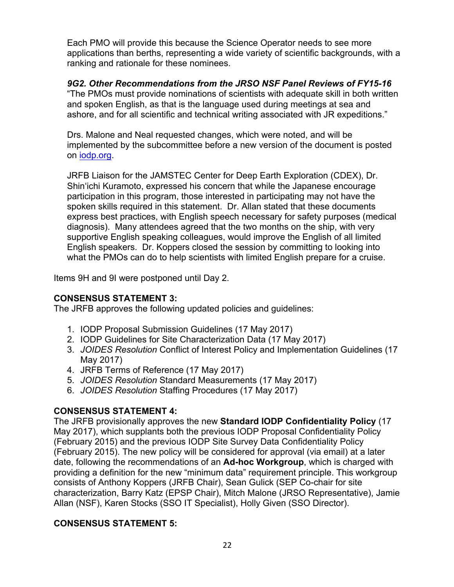Each PMO will provide this because the Science Operator needs to see more applications than berths, representing a wide variety of scientific backgrounds, with a ranking and rationale for these nominees.

*9G2. Other Recommendations from the JRSO NSF Panel Reviews of FY15-16* "The PMOs must provide nominations of scientists with adequate skill in both written and spoken English, as that is the language used during meetings at sea and ashore, and for all scientific and technical writing associated with JR expeditions."

Drs. Malone and Neal requested changes, which were noted, and will be implemented by the subcommittee before a new version of the document is posted on iodp.org.

JRFB Liaison for the JAMSTEC Center for Deep Earth Exploration (CDEX), Dr. Shin'ichi Kuramoto, expressed his concern that while the Japanese encourage participation in this program, those interested in participating may not have the spoken skills required in this statement. Dr. Allan stated that these documents express best practices, with English speech necessary for safety purposes (medical diagnosis). Many attendees agreed that the two months on the ship, with very supportive English speaking colleagues, would improve the English of all limited English speakers. Dr. Koppers closed the session by committing to looking into what the PMOs can do to help scientists with limited English prepare for a cruise.

Items 9H and 9I were postponed until Day 2.

#### **CONSENSUS STATEMENT 3:**

The JRFB approves the following updated policies and guidelines:

- 1. IODP Proposal Submission Guidelines (17 May 2017)
- 2. IODP Guidelines for Site Characterization Data (17 May 2017)
- 3. *JOIDES Resolution* Conflict of Interest Policy and Implementation Guidelines (17 May 2017)
- 4. JRFB Terms of Reference (17 May 2017)
- 5. *JOIDES Resolution* Standard Measurements (17 May 2017)
- 6. *JOIDES Resolution* Staffing Procedures (17 May 2017)

#### **CONSENSUS STATEMENT 4:**

The JRFB provisionally approves the new **Standard IODP Confidentiality Policy** (17 May 2017), which supplants both the previous IODP Proposal Confidentiality Policy (February 2015) and the previous IODP Site Survey Data Confidentiality Policy (February 2015). The new policy will be considered for approval (via email) at a later date, following the recommendations of an **Ad-hoc Workgroup**, which is charged with providing a definition for the new "minimum data" requirement principle. This workgroup consists of Anthony Koppers (JRFB Chair), Sean Gulick (SEP Co-chair for site characterization, Barry Katz (EPSP Chair), Mitch Malone (JRSO Representative), Jamie Allan (NSF), Karen Stocks (SSO IT Specialist), Holly Given (SSO Director).

#### **CONSENSUS STATEMENT 5:**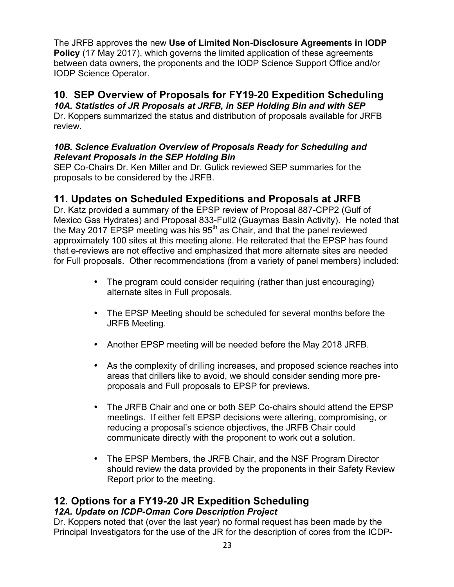The JRFB approves the new **Use of Limited Non-Disclosure Agreements in IODP Policy** (17 May 2017), which governs the limited application of these agreements between data owners, the proponents and the IODP Science Support Office and/or IODP Science Operator.

# **10. SEP Overview of Proposals for FY19-20 Expedition Scheduling**

*10A. Statistics of JR Proposals at JRFB, in SEP Holding Bin and with SEP* Dr. Koppers summarized the status and distribution of proposals available for JRFB review.

#### *10B. Science Evaluation Overview of Proposals Ready for Scheduling and Relevant Proposals in the SEP Holding Bin*

SEP Co-Chairs Dr. Ken Miller and Dr. Gulick reviewed SEP summaries for the proposals to be considered by the JRFB.

# **11. Updates on Scheduled Expeditions and Proposals at JRFB**

Dr. Katz provided a summary of the EPSP review of Proposal 887-CPP2 (Gulf of Mexico Gas Hydrates) and Proposal 833-Full2 (Guaymas Basin Activity). He noted that the May 2017 EPSP meeting was his  $95<sup>th</sup>$  as Chair, and that the panel reviewed approximately 100 sites at this meeting alone. He reiterated that the EPSP has found that e-reviews are not effective and emphasized that more alternate sites are needed for Full proposals. Other recommendations (from a variety of panel members) included:

- The program could consider requiring (rather than just encouraging) alternate sites in Full proposals.
- The EPSP Meeting should be scheduled for several months before the JRFB Meeting.
- Another EPSP meeting will be needed before the May 2018 JRFB.
- As the complexity of drilling increases, and proposed science reaches into areas that drillers like to avoid, we should consider sending more preproposals and Full proposals to EPSP for previews.
- The JRFB Chair and one or both SEP Co-chairs should attend the EPSP meetings. If either felt EPSP decisions were altering, compromising, or reducing a proposal's science objectives, the JRFB Chair could communicate directly with the proponent to work out a solution.
- The EPSP Members, the JRFB Chair, and the NSF Program Director should review the data provided by the proponents in their Safety Review Report prior to the meeting.

#### **12. Options for a FY19-20 JR Expedition Scheduling** *12A. Update on ICDP-Oman Core Description Project*

Dr. Koppers noted that (over the last year) no formal request has been made by the Principal Investigators for the use of the JR for the description of cores from the ICDP-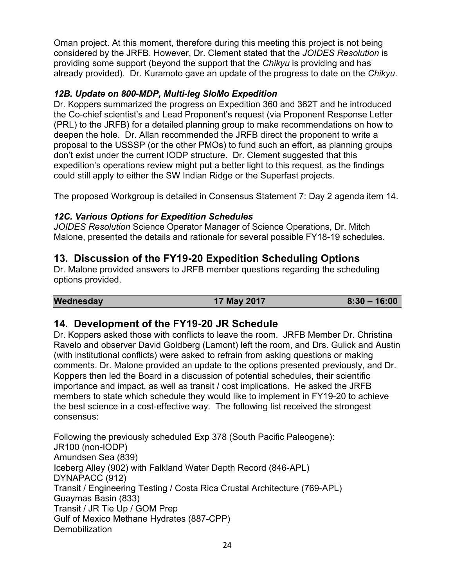Oman project. At this moment, therefore during this meeting this project is not being considered by the JRFB. However, Dr. Clement stated that the *JOIDES Resolution* is providing some support (beyond the support that the *Chikyu* is providing and has already provided). Dr. Kuramoto gave an update of the progress to date on the *Chikyu*.

## *12B. Update on 800-MDP, Multi-leg SloMo Expedition*

Dr. Koppers summarized the progress on Expedition 360 and 362T and he introduced the Co-chief scientist's and Lead Proponent's request (via Proponent Response Letter (PRL) to the JRFB) for a detailed planning group to make recommendations on how to deepen the hole. Dr. Allan recommended the JRFB direct the proponent to write a proposal to the USSSP (or the other PMOs) to fund such an effort, as planning groups don't exist under the current IODP structure. Dr. Clement suggested that this expedition's operations review might put a better light to this request, as the findings could still apply to either the SW Indian Ridge or the Superfast projects.

The proposed Workgroup is detailed in Consensus Statement 7: Day 2 agenda item 14.

## *12C. Various Options for Expedition Schedules*

*JOIDES Resolution* Science Operator Manager of Science Operations, Dr. Mitch Malone, presented the details and rationale for several possible FY18-19 schedules.

# **13. Discussion of the FY19-20 Expedition Scheduling Options**

Dr. Malone provided answers to JRFB member questions regarding the scheduling options provided.

**Wednesday 17 May 2017 8:30 – 16:00**

## **14. Development of the FY19-20 JR Schedule**

Dr. Koppers asked those with conflicts to leave the room. JRFB Member Dr. Christina Ravelo and observer David Goldberg (Lamont) left the room, and Drs. Gulick and Austin (with institutional conflicts) were asked to refrain from asking questions or making comments. Dr. Malone provided an update to the options presented previously, and Dr. Koppers then led the Board in a discussion of potential schedules, their scientific importance and impact, as well as transit / cost implications. He asked the JRFB members to state which schedule they would like to implement in FY19-20 to achieve the best science in a cost-effective way. The following list received the strongest consensus:

Following the previously scheduled Exp 378 (South Pacific Paleogene): JR100 (non-IODP) Amundsen Sea (839) Iceberg Alley (902) with Falkland Water Depth Record (846-APL) DYNAPACC (912) Transit / Engineering Testing / Costa Rica Crustal Architecture (769-APL) Guaymas Basin (833) Transit / JR Tie Up / GOM Prep Gulf of Mexico Methane Hydrates (887-CPP) **Demobilization**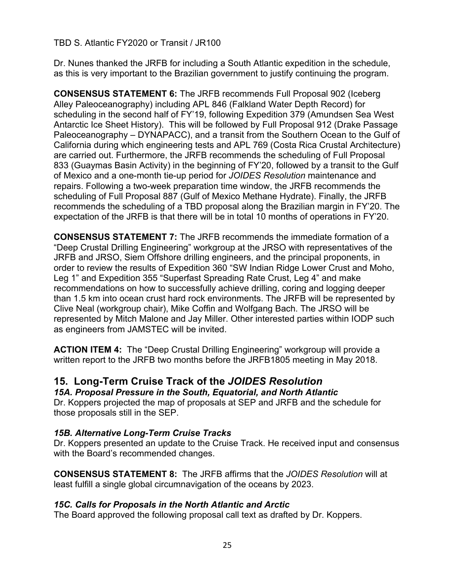#### TBD S. Atlantic FY2020 or Transit / JR100

Dr. Nunes thanked the JRFB for including a South Atlantic expedition in the schedule, as this is very important to the Brazilian government to justify continuing the program.

**CONSENSUS STATEMENT 6:** The JRFB recommends Full Proposal 902 (Iceberg Alley Paleoceanography) including APL 846 (Falkland Water Depth Record) for scheduling in the second half of FY'19, following Expedition 379 (Amundsen Sea West Antarctic Ice Sheet History). This will be followed by Full Proposal 912 (Drake Passage Paleoceanography – DYNAPACC), and a transit from the Southern Ocean to the Gulf of California during which engineering tests and APL 769 (Costa Rica Crustal Architecture) are carried out. Furthermore, the JRFB recommends the scheduling of Full Proposal 833 (Guaymas Basin Activity) in the beginning of FY'20, followed by a transit to the Gulf of Mexico and a one-month tie-up period for *JOIDES Resolution* maintenance and repairs. Following a two-week preparation time window, the JRFB recommends the scheduling of Full Proposal 887 (Gulf of Mexico Methane Hydrate). Finally, the JRFB recommends the scheduling of a TBD proposal along the Brazilian margin in FY'20. The expectation of the JRFB is that there will be in total 10 months of operations in FY'20.

**CONSENSUS STATEMENT 7:** The JRFB recommends the immediate formation of a "Deep Crustal Drilling Engineering" workgroup at the JRSO with representatives of the JRFB and JRSO, Siem Offshore drilling engineers, and the principal proponents, in order to review the results of Expedition 360 "SW Indian Ridge Lower Crust and Moho, Leg 1" and Expedition 355 "Superfast Spreading Rate Crust, Leg 4" and make recommendations on how to successfully achieve drilling, coring and logging deeper than 1.5 km into ocean crust hard rock environments. The JRFB will be represented by Clive Neal (workgroup chair), Mike Coffin and Wolfgang Bach. The JRSO will be represented by Mitch Malone and Jay Miller. Other interested parties within IODP such as engineers from JAMSTEC will be invited.

**ACTION ITEM 4:** The "Deep Crustal Drilling Engineering" workgroup will provide a written report to the JRFB two months before the JRFB1805 meeting in May 2018.

## **15. Long-Term Cruise Track of the** *JOIDES Resolution*

#### *15A. Proposal Pressure in the South, Equatorial, and North Atlantic*

Dr. Koppers projected the map of proposals at SEP and JRFB and the schedule for those proposals still in the SEP.

#### *15B. Alternative Long-Term Cruise Tracks*

Dr. Koppers presented an update to the Cruise Track. He received input and consensus with the Board's recommended changes.

**CONSENSUS STATEMENT 8:** The JRFB affirms that the *JOIDES Resolution* will at least fulfill a single global circumnavigation of the oceans by 2023.

#### *15C. Calls for Proposals in the North Atlantic and Arctic*

The Board approved the following proposal call text as drafted by Dr. Koppers.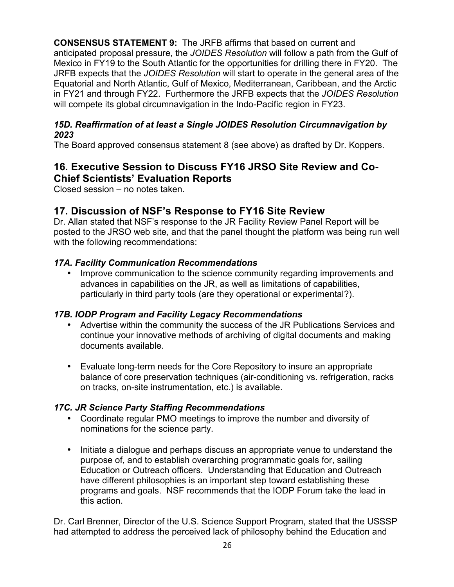**CONSENSUS STATEMENT 9:** The JRFB affirms that based on current and anticipated proposal pressure, the *JOIDES Resolution* will follow a path from the Gulf of Mexico in FY19 to the South Atlantic for the opportunities for drilling there in FY20. The JRFB expects that the *JOIDES Resolution* will start to operate in the general area of the Equatorial and North Atlantic, Gulf of Mexico, Mediterranean, Caribbean, and the Arctic in FY21 and through FY22. Furthermore the JRFB expects that the *JOIDES Resolution* will compete its global circumnavigation in the Indo-Pacific region in FY23.

#### *15D. Reaffirmation of at least a Single JOIDES Resolution Circumnavigation by 2023*

The Board approved consensus statement 8 (see above) as drafted by Dr. Koppers.

# **16. Executive Session to Discuss FY16 JRSO Site Review and Co-Chief Scientists' Evaluation Reports**

Closed session – no notes taken.

## **17. Discussion of NSF's Response to FY16 Site Review**

Dr. Allan stated that NSF's response to the JR Facility Review Panel Report will be posted to the JRSO web site, and that the panel thought the platform was being run well with the following recommendations:

## *17A. Facility Communication Recommendations*

• Improve communication to the science community regarding improvements and advances in capabilities on the JR, as well as limitations of capabilities, particularly in third party tools (are they operational or experimental?).

## *17B. IODP Program and Facility Legacy Recommendations*

- Advertise within the community the success of the JR Publications Services and continue your innovative methods of archiving of digital documents and making documents available.
- Evaluate long-term needs for the Core Repository to insure an appropriate balance of core preservation techniques (air-conditioning vs. refrigeration, racks on tracks, on-site instrumentation, etc.) is available.

## *17C. JR Science Party Staffing Recommendations*

- Coordinate regular PMO meetings to improve the number and diversity of nominations for the science party.
- Initiate a dialogue and perhaps discuss an appropriate venue to understand the purpose of, and to establish overarching programmatic goals for, sailing Education or Outreach officers. Understanding that Education and Outreach have different philosophies is an important step toward establishing these programs and goals. NSF recommends that the IODP Forum take the lead in this action.

Dr. Carl Brenner, Director of the U.S. Science Support Program, stated that the USSSP had attempted to address the perceived lack of philosophy behind the Education and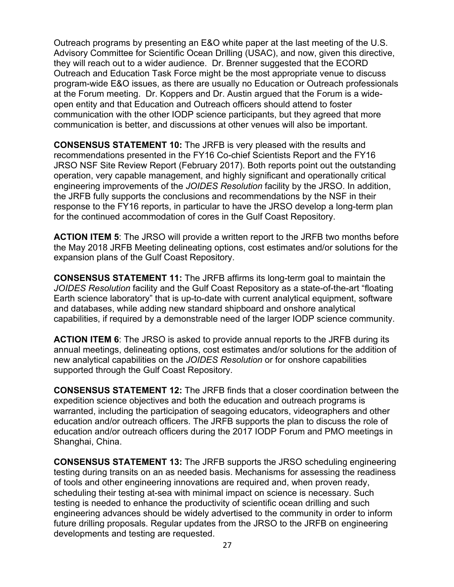Outreach programs by presenting an E&O white paper at the last meeting of the U.S. Advisory Committee for Scientific Ocean Drilling (USAC), and now, given this directive, they will reach out to a wider audience. Dr. Brenner suggested that the ECORD Outreach and Education Task Force might be the most appropriate venue to discuss program-wide E&O issues, as there are usually no Education or Outreach professionals at the Forum meeting. Dr. Koppers and Dr. Austin argued that the Forum is a wideopen entity and that Education and Outreach officers should attend to foster communication with the other IODP science participants, but they agreed that more communication is better, and discussions at other venues will also be important.

**CONSENSUS STATEMENT 10:** The JRFB is very pleased with the results and recommendations presented in the FY16 Co-chief Scientists Report and the FY16 JRSO NSF Site Review Report (February 2017). Both reports point out the outstanding operation, very capable management, and highly significant and operationally critical engineering improvements of the *JOIDES Resolution* facility by the JRSO. In addition, the JRFB fully supports the conclusions and recommendations by the NSF in their response to the FY16 reports, in particular to have the JRSO develop a long-term plan for the continued accommodation of cores in the Gulf Coast Repository.

**ACTION ITEM 5**: The JRSO will provide a written report to the JRFB two months before the May 2018 JRFB Meeting delineating options, cost estimates and/or solutions for the expansion plans of the Gulf Coast Repository.

**CONSENSUS STATEMENT 11:** The JRFB affirms its long-term goal to maintain the *JOIDES Resolution* facility and the Gulf Coast Repository as a state-of-the-art "floating Earth science laboratory" that is up-to-date with current analytical equipment, software and databases, while adding new standard shipboard and onshore analytical capabilities, if required by a demonstrable need of the larger IODP science community.

**ACTION ITEM 6**: The JRSO is asked to provide annual reports to the JRFB during its annual meetings, delineating options, cost estimates and/or solutions for the addition of new analytical capabilities on the *JOIDES Resolution* or for onshore capabilities supported through the Gulf Coast Repository.

**CONSENSUS STATEMENT 12:** The JRFB finds that a closer coordination between the expedition science objectives and both the education and outreach programs is warranted, including the participation of seagoing educators, videographers and other education and/or outreach officers. The JRFB supports the plan to discuss the role of education and/or outreach officers during the 2017 IODP Forum and PMO meetings in Shanghai, China.

**CONSENSUS STATEMENT 13:** The JRFB supports the JRSO scheduling engineering testing during transits on an as needed basis. Mechanisms for assessing the readiness of tools and other engineering innovations are required and, when proven ready, scheduling their testing at-sea with minimal impact on science is necessary. Such testing is needed to enhance the productivity of scientific ocean drilling and such engineering advances should be widely advertised to the community in order to inform future drilling proposals. Regular updates from the JRSO to the JRFB on engineering developments and testing are requested.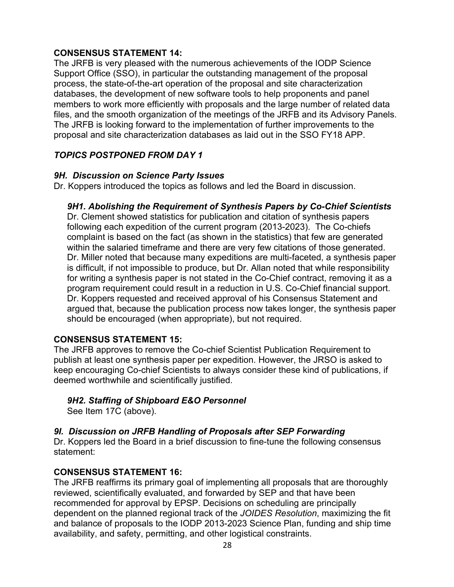#### **CONSENSUS STATEMENT 14:**

The JRFB is very pleased with the numerous achievements of the IODP Science Support Office (SSO), in particular the outstanding management of the proposal process, the state-of-the-art operation of the proposal and site characterization databases, the development of new software tools to help proponents and panel members to work more efficiently with proposals and the large number of related data files, and the smooth organization of the meetings of the JRFB and its Advisory Panels. The JRFB is looking forward to the implementation of further improvements to the proposal and site characterization databases as laid out in the SSO FY18 APP.

## *TOPICS POSTPONED FROM DAY 1*

#### *9H. Discussion on Science Party Issues*

Dr. Koppers introduced the topics as follows and led the Board in discussion.

#### *9H1. Abolishing the Requirement of Synthesis Papers by Co-Chief Scientists*

Dr. Clement showed statistics for publication and citation of synthesis papers following each expedition of the current program (2013-2023). The Co-chiefs complaint is based on the fact (as shown in the statistics) that few are generated within the salaried timeframe and there are very few citations of those generated. Dr. Miller noted that because many expeditions are multi-faceted, a synthesis paper is difficult, if not impossible to produce, but Dr. Allan noted that while responsibility for writing a synthesis paper is not stated in the Co-Chief contract, removing it as a program requirement could result in a reduction in U.S. Co-Chief financial support. Dr. Koppers requested and received approval of his Consensus Statement and argued that, because the publication process now takes longer, the synthesis paper should be encouraged (when appropriate), but not required.

#### **CONSENSUS STATEMENT 15:**

The JRFB approves to remove the Co-chief Scientist Publication Requirement to publish at least one synthesis paper per expedition. However, the JRSO is asked to keep encouraging Co-chief Scientists to always consider these kind of publications, if deemed worthwhile and scientifically justified.

#### *9H2. Staffing of Shipboard E&O Personnel*

See Item 17C (above).

#### *9I. Discussion on JRFB Handling of Proposals after SEP Forwarding*

Dr. Koppers led the Board in a brief discussion to fine-tune the following consensus statement:

#### **CONSENSUS STATEMENT 16:**

The JRFB reaffirms its primary goal of implementing all proposals that are thoroughly reviewed, scientifically evaluated, and forwarded by SEP and that have been recommended for approval by EPSP. Decisions on scheduling are principally dependent on the planned regional track of the *JOIDES Resolution*, maximizing the fit and balance of proposals to the IODP 2013-2023 Science Plan, funding and ship time availability, and safety, permitting, and other logistical constraints.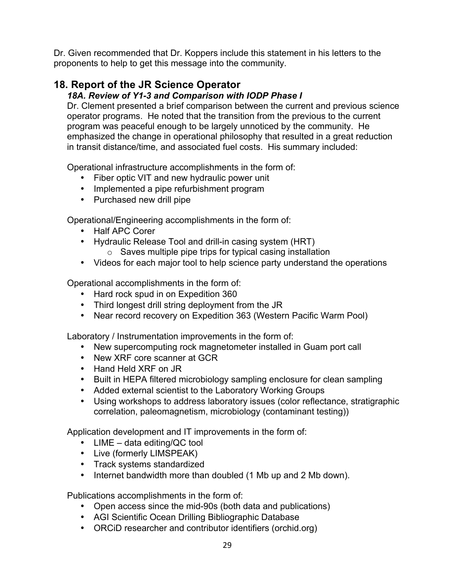Dr. Given recommended that Dr. Koppers include this statement in his letters to the proponents to help to get this message into the community.

# **18. Report of the JR Science Operator**

## *18A. Review of Y1-3 and Comparison with IODP Phase I*

Dr. Clement presented a brief comparison between the current and previous science operator programs. He noted that the transition from the previous to the current program was peaceful enough to be largely unnoticed by the community. He emphasized the change in operational philosophy that resulted in a great reduction in transit distance/time, and associated fuel costs. His summary included:

Operational infrastructure accomplishments in the form of:

- Fiber optic VIT and new hydraulic power unit
- Implemented a pipe refurbishment program
- Purchased new drill pipe

Operational/Engineering accomplishments in the form of:

- Half APC Corer
- Hydraulic Release Tool and drill-in casing system (HRT)
	- o Saves multiple pipe trips for typical casing installation
- Videos for each major tool to help science party understand the operations

Operational accomplishments in the form of:

- Hard rock spud in on Expedition 360
- Third longest drill string deployment from the JR
- Near record recovery on Expedition 363 (Western Pacific Warm Pool)

Laboratory / Instrumentation improvements in the form of:

- New supercomputing rock magnetometer installed in Guam port call
- New XRF core scanner at GCR
- Hand Held XRF on JR
- Built in HEPA filtered microbiology sampling enclosure for clean sampling
- Added external scientist to the Laboratory Working Groups
- Using workshops to address laboratory issues (color reflectance, stratigraphic correlation, paleomagnetism, microbiology (contaminant testing))

Application development and IT improvements in the form of:

- LIME data editing/QC tool
- Live (formerly LIMSPEAK)
- Track systems standardized
- Internet bandwidth more than doubled (1 Mb up and 2 Mb down).

Publications accomplishments in the form of:

- Open access since the mid-90s (both data and publications)
- AGI Scientific Ocean Drilling Bibliographic Database
- ORCiD researcher and contributor identifiers (orchid.org)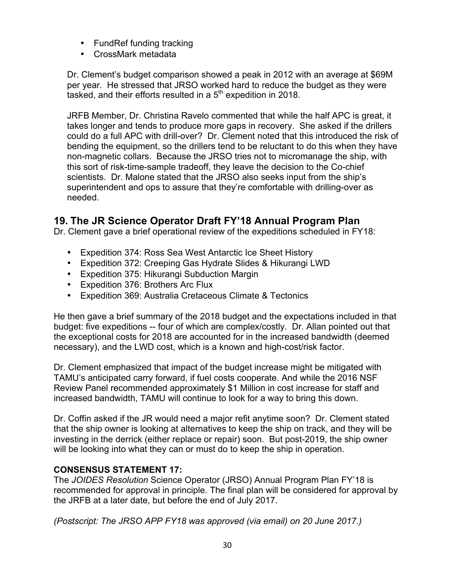- FundRef funding tracking
- CrossMark metadata

Dr. Clement's budget comparison showed a peak in 2012 with an average at \$69M per year. He stressed that JRSO worked hard to reduce the budget as they were tasked, and their efforts resulted in a 5<sup>th</sup> expedition in 2018.

JRFB Member, Dr. Christina Ravelo commented that while the half APC is great, it takes longer and tends to produce more gaps in recovery. She asked if the drillers could do a full APC with drill-over? Dr. Clement noted that this introduced the risk of bending the equipment, so the drillers tend to be reluctant to do this when they have non-magnetic collars. Because the JRSO tries not to micromanage the ship, with this sort of risk-time-sample tradeoff, they leave the decision to the Co-chief scientists. Dr. Malone stated that the JRSO also seeks input from the ship's superintendent and ops to assure that they're comfortable with drilling-over as needed.

# **19. The JR Science Operator Draft FY'18 Annual Program Plan**

Dr. Clement gave a brief operational review of the expeditions scheduled in FY18:

- Expedition 374: Ross Sea West Antarctic Ice Sheet History
- Expedition 372: Creeping Gas Hydrate Slides & Hikurangi LWD
- Expedition 375: Hikurangi Subduction Margin
- Expedition 376: Brothers Arc Flux
- Expedition 369: Australia Cretaceous Climate & Tectonics

He then gave a brief summary of the 2018 budget and the expectations included in that budget: five expeditions -- four of which are complex/costly. Dr. Allan pointed out that the exceptional costs for 2018 are accounted for in the increased bandwidth (deemed necessary), and the LWD cost, which is a known and high-cost/risk factor.

Dr. Clement emphasized that impact of the budget increase might be mitigated with TAMU's anticipated carry forward, if fuel costs cooperate. And while the 2016 NSF Review Panel recommended approximately \$1 Million in cost increase for staff and increased bandwidth, TAMU will continue to look for a way to bring this down.

Dr. Coffin asked if the JR would need a major refit anytime soon? Dr. Clement stated that the ship owner is looking at alternatives to keep the ship on track, and they will be investing in the derrick (either replace or repair) soon. But post-2019, the ship owner will be looking into what they can or must do to keep the ship in operation.

## **CONSENSUS STATEMENT 17:**

The *JOIDES Resolution* Science Operator (JRSO) Annual Program Plan FY'18 is recommended for approval in principle. The final plan will be considered for approval by the JRFB at a later date, but before the end of July 2017.

*(Postscript: The JRSO APP FY18 was approved (via email) on 20 June 2017.)*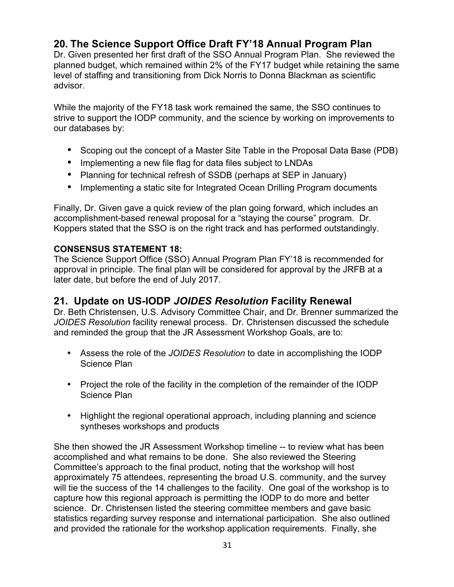# **20. The Science Support Office Draft FY'18 Annual Program Plan**

Dr. Given presented her first draft of the SSO Annual Program Plan. She reviewed the planned budget, which remained within 2% of the FY17 budget while retaining the same level of staffing and transitioning from Dick Norris to Donna Blackman as scientific advisor.

While the majority of the FY18 task work remained the same, the SSO continues to strive to support the IODP community, and the science by working on improvements to our databases by:

- Scoping out the concept of a Master Site Table in the Proposal Data Base (PDB)
- Implementing a new file flag for data files subject to LNDAs
- Planning for technical refresh of SSDB (perhaps at SEP in January)
- Implementing a static site for Integrated Ocean Drilling Program documents

Finally, Dr. Given gave a quick review of the plan going forward, which includes an accomplishment-based renewal proposal for a "staying the course" program. Dr. Koppers stated that the SSO is on the right track and has performed outstandingly.

#### **CONSENSUS STATEMENT 18:**

The Science Support Office (SSO) Annual Program Plan FY'18 is recommended for approval in principle. The final plan will be considered for approval by the JRFB at a later date, but before the end of July 2017.

## **21. Update on US-IODP** *JOIDES Resolution* **Facility Renewal**

Dr. Beth Christensen, U.S. Advisory Committee Chair, and Dr. Brenner summarized the *JOIDES Resolution* facility renewal process. Dr. Christensen discussed the schedule and reminded the group that the JR Assessment Workshop Goals, are to:

- Assess the role of the *JOIDES Resolution* to date in accomplishing the IODP Science Plan
- Project the role of the facility in the completion of the remainder of the IODP Science Plan
- Highlight the regional operational approach, including planning and science syntheses workshops and products

She then showed the JR Assessment Workshop timeline -- to review what has been accomplished and what remains to be done. She also reviewed the Steering Committee's approach to the final product, noting that the workshop will host approximately 75 attendees, representing the broad U.S. community, and the survey will tie the success of the 14 challenges to the facility. One goal of the workshop is to capture how this regional approach is permitting the IODP to do more and better science. Dr. Christensen listed the steering committee members and gave basic statistics regarding survey response and international participation. She also outlined and provided the rationale for the workshop application requirements. Finally, she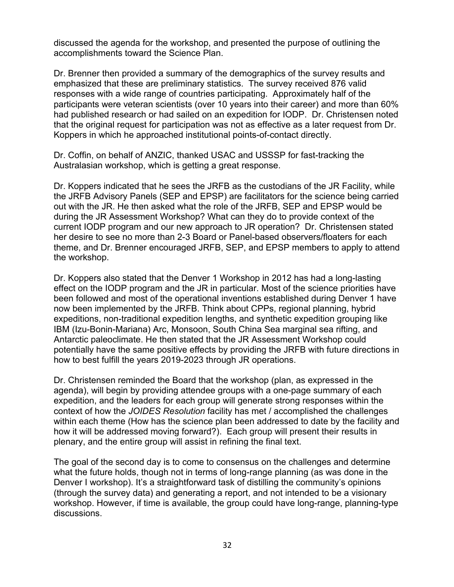discussed the agenda for the workshop, and presented the purpose of outlining the accomplishments toward the Science Plan.

Dr. Brenner then provided a summary of the demographics of the survey results and emphasized that these are preliminary statistics. The survey received 876 valid responses with a wide range of countries participating. Approximately half of the participants were veteran scientists (over 10 years into their career) and more than 60% had published research or had sailed on an expedition for IODP. Dr. Christensen noted that the original request for participation was not as effective as a later request from Dr. Koppers in which he approached institutional points-of-contact directly.

Dr. Coffin, on behalf of ANZIC, thanked USAC and USSSP for fast-tracking the Australasian workshop, which is getting a great response.

Dr. Koppers indicated that he sees the JRFB as the custodians of the JR Facility, while the JRFB Advisory Panels (SEP and EPSP) are facilitators for the science being carried out with the JR. He then asked what the role of the JRFB, SEP and EPSP would be during the JR Assessment Workshop? What can they do to provide context of the current IODP program and our new approach to JR operation? Dr. Christensen stated her desire to see no more than 2-3 Board or Panel-based observers/floaters for each theme, and Dr. Brenner encouraged JRFB, SEP, and EPSP members to apply to attend the workshop.

Dr. Koppers also stated that the Denver 1 Workshop in 2012 has had a long-lasting effect on the IODP program and the JR in particular. Most of the science priorities have been followed and most of the operational inventions established during Denver 1 have now been implemented by the JRFB. Think about CPPs, regional planning, hybrid expeditions, non-traditional expedition lengths, and synthetic expedition grouping like IBM (Izu-Bonin-Mariana) Arc, Monsoon, South China Sea marginal sea rifting, and Antarctic paleoclimate. He then stated that the JR Assessment Workshop could potentially have the same positive effects by providing the JRFB with future directions in how to best fulfill the years 2019-2023 through JR operations.

Dr. Christensen reminded the Board that the workshop (plan, as expressed in the agenda), will begin by providing attendee groups with a one-page summary of each expedition, and the leaders for each group will generate strong responses within the context of how the *JOIDES Resolution* facility has met / accomplished the challenges within each theme (How has the science plan been addressed to date by the facility and how it will be addressed moving forward?). Each group will present their results in plenary, and the entire group will assist in refining the final text.

The goal of the second day is to come to consensus on the challenges and determine what the future holds, though not in terms of long-range planning (as was done in the Denver I workshop). It's a straightforward task of distilling the community's opinions (through the survey data) and generating a report, and not intended to be a visionary workshop. However, if time is available, the group could have long-range, planning-type discussions.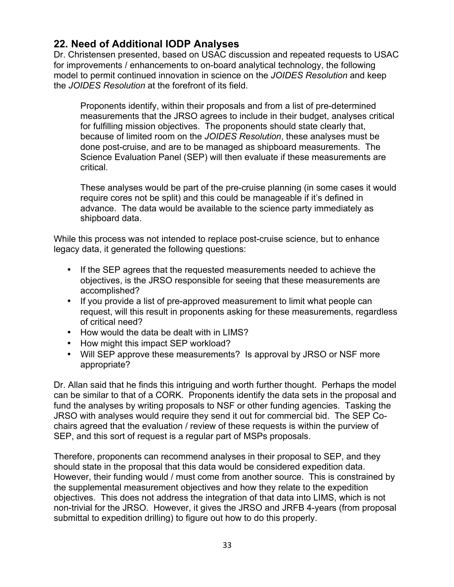# **22. Need of Additional IODP Analyses**

Dr. Christensen presented, based on USAC discussion and repeated requests to USAC for improvements / enhancements to on-board analytical technology, the following model to permit continued innovation in science on the *JOIDES Resolution* and keep the *JOIDES Resolution* at the forefront of its field.

Proponents identify, within their proposals and from a list of pre-determined measurements that the JRSO agrees to include in their budget, analyses critical for fulfilling mission objectives. The proponents should state clearly that, because of limited room on the *JOIDES Resolution*, these analyses must be done post-cruise, and are to be managed as shipboard measurements. The Science Evaluation Panel (SEP) will then evaluate if these measurements are critical.

These analyses would be part of the pre-cruise planning (in some cases it would require cores not be split) and this could be manageable if it's defined in advance. The data would be available to the science party immediately as shipboard data.

While this process was not intended to replace post-cruise science, but to enhance legacy data, it generated the following questions:

- If the SEP agrees that the requested measurements needed to achieve the objectives, is the JRSO responsible for seeing that these measurements are accomplished?
- If you provide a list of pre-approved measurement to limit what people can request, will this result in proponents asking for these measurements, regardless of critical need?
- How would the data be dealt with in LIMS?
- How might this impact SEP workload?
- Will SEP approve these measurements? Is approval by JRSO or NSF more appropriate?

Dr. Allan said that he finds this intriguing and worth further thought. Perhaps the model can be similar to that of a CORK. Proponents identify the data sets in the proposal and fund the analyses by writing proposals to NSF or other funding agencies. Tasking the JRSO with analyses would require they send it out for commercial bid. The SEP Cochairs agreed that the evaluation / review of these requests is within the purview of SEP, and this sort of request is a regular part of MSPs proposals.

Therefore, proponents can recommend analyses in their proposal to SEP, and they should state in the proposal that this data would be considered expedition data. However, their funding would / must come from another source. This is constrained by the supplemental measurement objectives and how they relate to the expedition objectives. This does not address the integration of that data into LIMS, which is not non-trivial for the JRSO. However, it gives the JRSO and JRFB 4-years (from proposal submittal to expedition drilling) to figure out how to do this properly.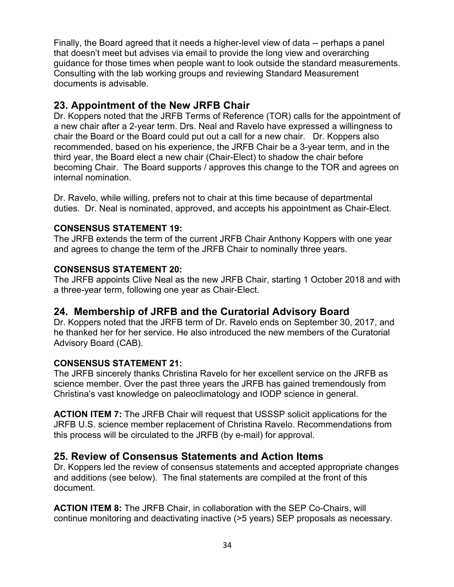Finally, the Board agreed that it needs a higher-level view of data -- perhaps a panel that doesn't meet but advises via email to provide the long view and overarching guidance for those times when people want to look outside the standard measurements. Consulting with the lab working groups and reviewing Standard Measurement documents is advisable.

## **23. Appointment of the New JRFB Chair**

Dr. Koppers noted that the JRFB Terms of Reference (TOR) calls for the appointment of a new chair after a 2-year term. Drs. Neal and Ravelo have expressed a willingness to chair the Board or the Board could put out a call for a new chair. Dr. Koppers also recommended, based on his experience, the JRFB Chair be a 3-year term, and in the third year, the Board elect a new chair (Chair-Elect) to shadow the chair before becoming Chair. The Board supports / approves this change to the TOR and agrees on internal nomination.

Dr. Ravelo, while willing, prefers not to chair at this time because of departmental duties. Dr. Neal is nominated, approved, and accepts his appointment as Chair-Elect.

#### **CONSENSUS STATEMENT 19:**

The JRFB extends the term of the current JRFB Chair Anthony Koppers with one year and agrees to change the term of the JRFB Chair to nominally three years.

#### **CONSENSUS STATEMENT 20:**

The JRFB appoints Clive Neal as the new JRFB Chair, starting 1 October 2018 and with a three-year term, following one year as Chair-Elect.

## **24. Membership of JRFB and the Curatorial Advisory Board**

Dr. Koppers noted that the JRFB term of Dr. Ravelo ends on September 30, 2017, and he thanked her for her service. He also introduced the new members of the Curatorial Advisory Board (CAB).

## **CONSENSUS STATEMENT 21:**

The JRFB sincerely thanks Christina Ravelo for her excellent service on the JRFB as science member. Over the past three years the JRFB has gained tremendously from Christina's vast knowledge on paleoclimatology and IODP science in general.

**ACTION ITEM 7:** The JRFB Chair will request that USSSP solicit applications for the JRFB U.S. science member replacement of Christina Ravelo. Recommendations from this process will be circulated to the JRFB (by e-mail) for approval.

## **25. Review of Consensus Statements and Action Items**

Dr. Koppers led the review of consensus statements and accepted appropriate changes and additions (see below). The final statements are compiled at the front of this document.

**ACTION ITEM 8:** The JRFB Chair, in collaboration with the SEP Co-Chairs, will continue monitoring and deactivating inactive (>5 years) SEP proposals as necessary.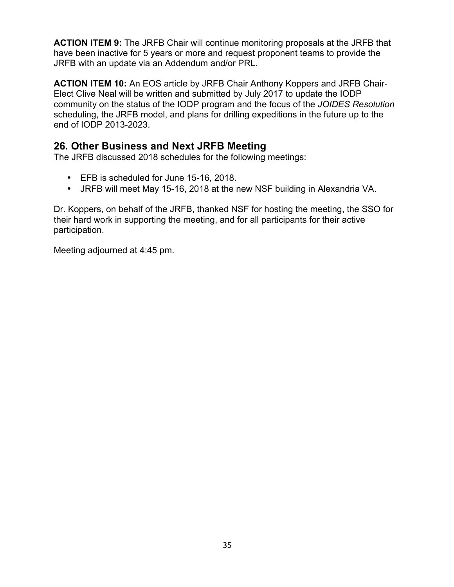**ACTION ITEM 9:** The JRFB Chair will continue monitoring proposals at the JRFB that have been inactive for 5 years or more and request proponent teams to provide the JRFB with an update via an Addendum and/or PRL.

**ACTION ITEM 10:** An EOS article by JRFB Chair Anthony Koppers and JRFB Chair-Elect Clive Neal will be written and submitted by July 2017 to update the IODP community on the status of the IODP program and the focus of the *JOIDES Resolution* scheduling, the JRFB model, and plans for drilling expeditions in the future up to the end of IODP 2013-2023.

## **26. Other Business and Next JRFB Meeting**

The JRFB discussed 2018 schedules for the following meetings:

- EFB is scheduled for June 15-16, 2018.
- JRFB will meet May 15-16, 2018 at the new NSF building in Alexandria VA.

Dr. Koppers, on behalf of the JRFB, thanked NSF for hosting the meeting, the SSO for their hard work in supporting the meeting, and for all participants for their active participation.

Meeting adjourned at 4:45 pm.